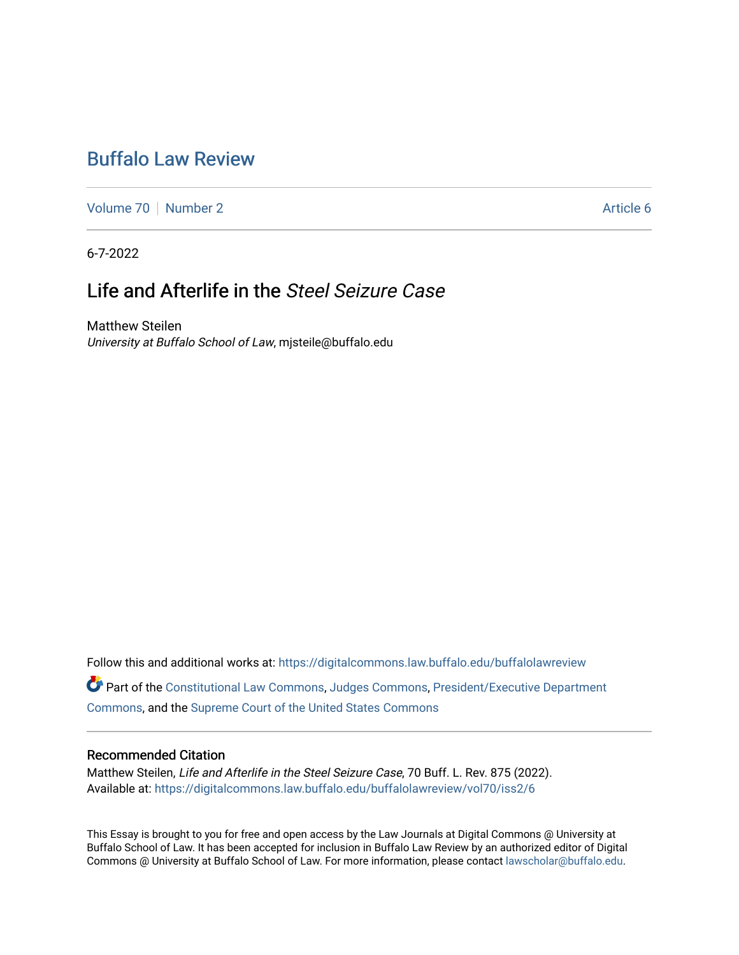# [Buffalo Law Review](https://digitalcommons.law.buffalo.edu/buffalolawreview)

[Volume 70](https://digitalcommons.law.buffalo.edu/buffalolawreview/vol70) [Number 2](https://digitalcommons.law.buffalo.edu/buffalolawreview/vol70/iss2) Article 6

6-7-2022

# Life and Afterlife in the Steel Seizure Case

Matthew Steilen University at Buffalo School of Law, mjsteile@buffalo.edu

Follow this and additional works at: [https://digitalcommons.law.buffalo.edu/buffalolawreview](https://digitalcommons.law.buffalo.edu/buffalolawreview?utm_source=digitalcommons.law.buffalo.edu%2Fbuffalolawreview%2Fvol70%2Fiss2%2F6&utm_medium=PDF&utm_campaign=PDFCoverPages) 

Part of the [Constitutional Law Commons,](https://network.bepress.com/hgg/discipline/589?utm_source=digitalcommons.law.buffalo.edu%2Fbuffalolawreview%2Fvol70%2Fiss2%2F6&utm_medium=PDF&utm_campaign=PDFCoverPages) [Judges Commons,](https://network.bepress.com/hgg/discipline/849?utm_source=digitalcommons.law.buffalo.edu%2Fbuffalolawreview%2Fvol70%2Fiss2%2F6&utm_medium=PDF&utm_campaign=PDFCoverPages) [President/Executive Department](https://network.bepress.com/hgg/discipline/1118?utm_source=digitalcommons.law.buffalo.edu%2Fbuffalolawreview%2Fvol70%2Fiss2%2F6&utm_medium=PDF&utm_campaign=PDFCoverPages)  [Commons](https://network.bepress.com/hgg/discipline/1118?utm_source=digitalcommons.law.buffalo.edu%2Fbuffalolawreview%2Fvol70%2Fiss2%2F6&utm_medium=PDF&utm_campaign=PDFCoverPages), and the [Supreme Court of the United States Commons](https://network.bepress.com/hgg/discipline/1350?utm_source=digitalcommons.law.buffalo.edu%2Fbuffalolawreview%2Fvol70%2Fiss2%2F6&utm_medium=PDF&utm_campaign=PDFCoverPages) 

#### Recommended Citation

Matthew Steilen, Life and Afterlife in the Steel Seizure Case, 70 Buff. L. Rev. 875 (2022). Available at: [https://digitalcommons.law.buffalo.edu/buffalolawreview/vol70/iss2/6](https://digitalcommons.law.buffalo.edu/buffalolawreview/vol70/iss2/6?utm_source=digitalcommons.law.buffalo.edu%2Fbuffalolawreview%2Fvol70%2Fiss2%2F6&utm_medium=PDF&utm_campaign=PDFCoverPages) 

This Essay is brought to you for free and open access by the Law Journals at Digital Commons @ University at Buffalo School of Law. It has been accepted for inclusion in Buffalo Law Review by an authorized editor of Digital Commons @ University at Buffalo School of Law. For more information, please contact [lawscholar@buffalo.edu](mailto:lawscholar@buffalo.edu).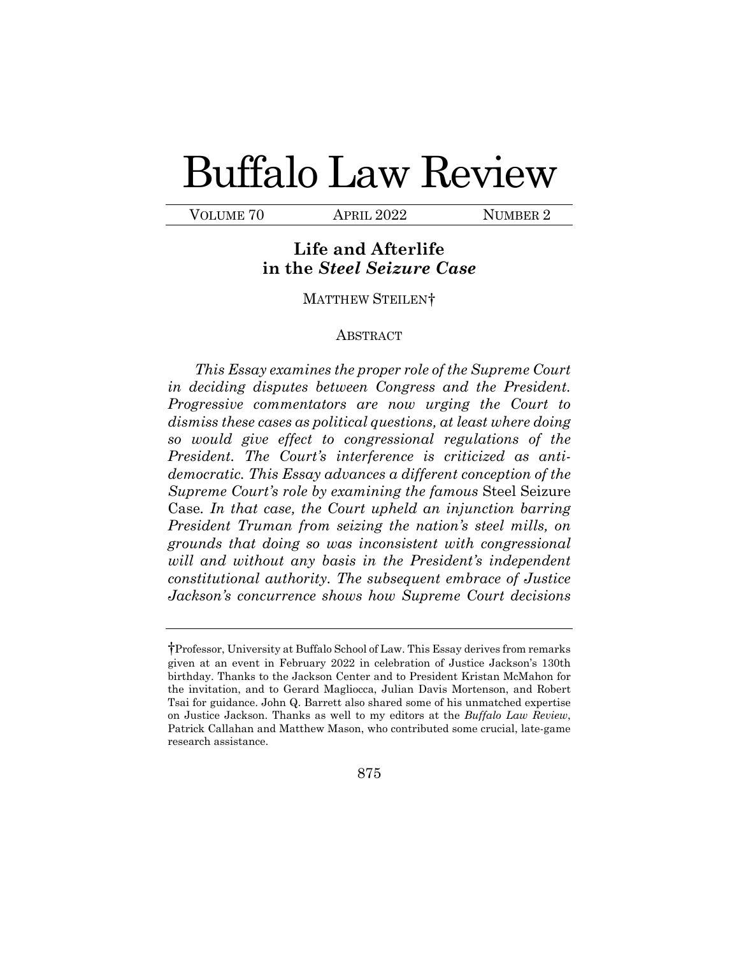# Buffalo Law Review

VOLUME 70 APRIL 2022 NUMBER 2

# **in the** *Steel Seizure Case*  **Life and Afterlife**

#### MATTHEW STEILEN[†](#page-1-0)

#### ABSTRACT

 *dismiss these cases as political questions, at least where doing grounds that doing so was inconsistent with congressional constitutional authority. The subsequent embrace of Justice This Essay examines the proper role of the Supreme Court in deciding disputes between Congress and the President. Progressive commentators are now urging the Court to so would give effect to congressional regulations of the President. The Court's interference is criticized as antidemocratic. This Essay advances a different conception of the Supreme Court's role by examining the famous* Steel Seizure Case*. In that case, the Court upheld an injunction barring President Truman from seizing the nation's steel mills, on will and without any basis in the President's independent Jackson's concurrence shows how Supreme Court decisions* 

<span id="page-1-0"></span> †Professor, University at Buffalo School of Law. This Essay derives from remarks on Justice Jackson. Thanks as well to my editors at the *Buffalo Law Review*, Patrick Callahan and Matthew Mason, who contributed some crucial, late-game given at an event in February 2022 in celebration of Justice Jackson's 130th birthday. Thanks to the Jackson Center and to President Kristan McMahon for the invitation, and to Gerard Magliocca, Julian Davis Mortenson, and Robert Tsai for guidance. John Q. Barrett also shared some of his unmatched expertise research assistance.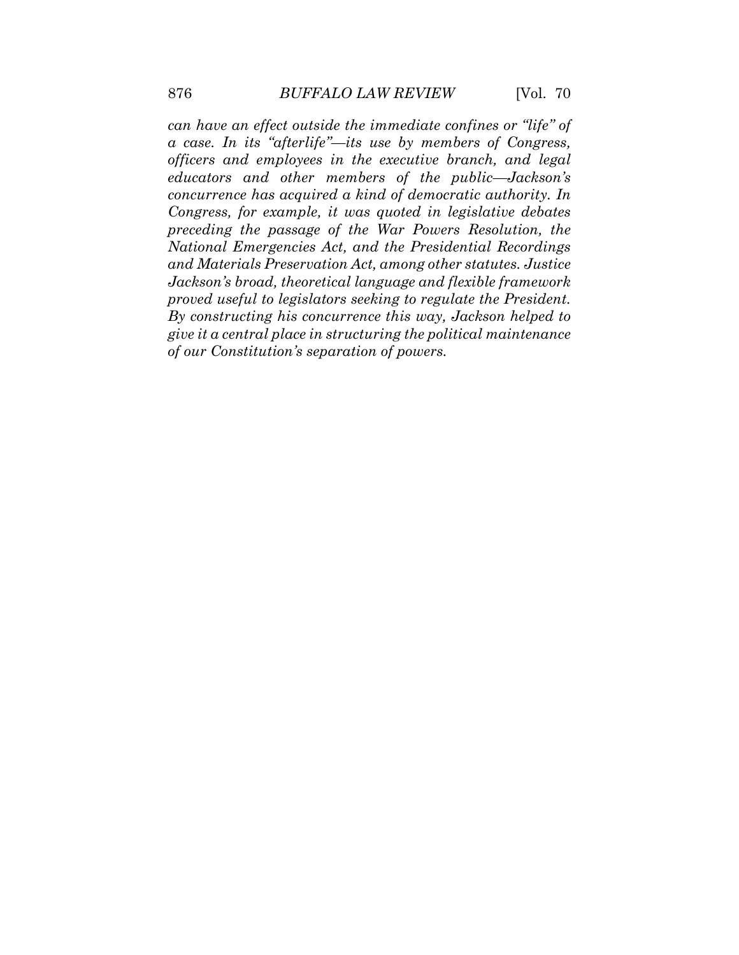*Congress, for example, it was quoted in legislative debates can have an effect outside the immediate confines or "life" of a case. In its "afterlife"—its use by members of Congress, officers and employees in the executive branch, and legal educators and other members of the public—Jackson's concurrence has acquired a kind of democratic authority. In preceding the passage of the War Powers Resolution, the National Emergencies Act, and the Presidential Recordings and Materials Preservation Act, among other statutes. Justice Jackson's broad, theoretical language and flexible framework proved useful to legislators seeking to regulate the President. By constructing his concurrence this way, Jackson helped to give it a central place in structuring the political maintenance of our Constitution's separation of powers.*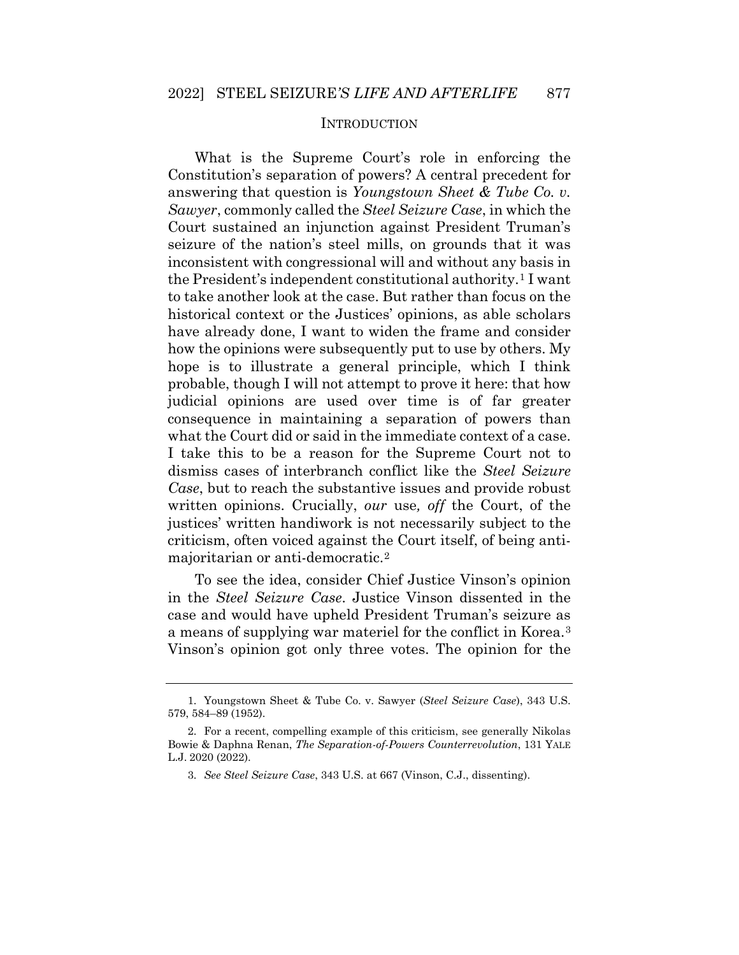#### INTRODUCTION

 What is the Supreme Court's role in enforcing the  answering that question is *Youngstown Sheet & Tube Co. v.*  to take another look at the case. But rather than focus on the historical context or the Justices' opinions, as able scholars probable, though I will not attempt to prove it here: that how judicial opinions are used over time is of far greater what the Court did or said in the immediate context of a case. written opinions. Crucially, *our* use*, off* the Court, of the Constitution's separation of powers? A central precedent for *Sawyer*, commonly called the *Steel Seizure Case*, in which the Court sustained an injunction against President Truman's seizure of the nation's steel mills, on grounds that it was inconsistent with congressional will and without any basis in the President's independent constitutional authority.[1](#page-3-0) I want have already done, I want to widen the frame and consider how the opinions were subsequently put to use by others. My hope is to illustrate a general principle, which I think consequence in maintaining a separation of powers than I take this to be a reason for the Supreme Court not to dismiss cases of interbranch conflict like the *Steel Seizure Case*, but to reach the substantive issues and provide robust justices' written handiwork is not necessarily subject to the criticism, often voiced against the Court itself, of being antimajoritarian or anti-democratic.[2](#page-3-1) 

To see the idea, consider Chief Justice Vinson's opinion in the *Steel Seizure Case*. Justice Vinson dissented in the case and would have upheld President Truman's seizure as a means of supplying war materiel for the conflict in Korea.[3](#page-3-2) Vinson's opinion got only three votes. The opinion for the

<span id="page-3-1"></span><span id="page-3-0"></span><sup>1.</sup> Youngstown Sheet & Tube Co. v. Sawyer (*Steel Seizure Case*), 343 U.S. 579, 584–89 (1952).

<span id="page-3-2"></span> Bowie & Daphna Renan, *The Separation-of-Powers Counterrevolution*, 131 YALE L.J. 2020 (2022). 2. For a recent, compelling example of this criticism, see generally Nikolas

<sup>3.</sup> *See Steel Seizure Case*, 343 U.S. at 667 (Vinson, C.J., dissenting).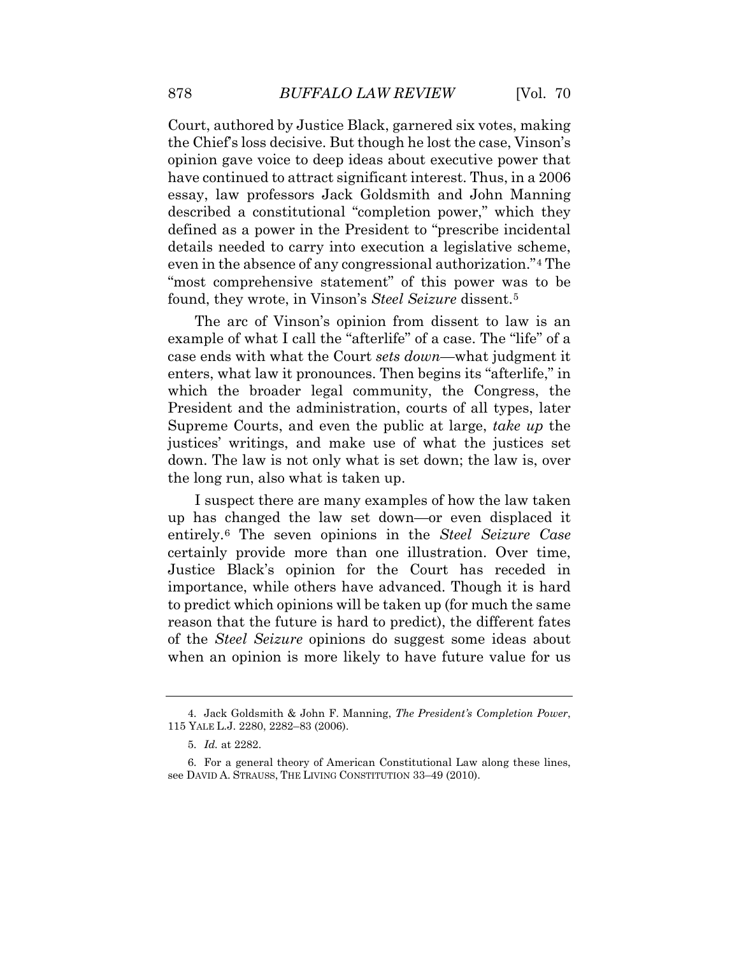opinion gave voice to deep ideas about executive power that found, they wrote, in Vinson's *Steel Seizure* dissent.[5](#page-4-1)  Court, authored by Justice Black, garnered six votes, making the Chief's loss decisive. But though he lost the case, Vinson's have continued to attract significant interest. Thus, in a 2006 essay, law professors Jack Goldsmith and John Manning described a constitutional "completion power," which they defined as a power in the President to "prescribe incidental details needed to carry into execution a legislative scheme, even in the absence of any congressional authorization."[4](#page-4-0) The "most comprehensive statement" of this power was to be

 example of what I call the "afterlife" of a case. The "life" of a case ends with what the Court *sets down*—what judgment it Supreme Courts, and even the public at large, *take up* the down. The law is not only what is set down; the law is, over The arc of Vinson's opinion from dissent to law is an enters, what law it pronounces. Then begins its "afterlife," in which the broader legal community, the Congress, the President and the administration, courts of all types, later justices' writings, and make use of what the justices set the long run, also what is taken up.

 up has changed the law set down—or even displaced it importance, while others have advanced. Though it is hard to predict which opinions will be taken up (for much the same I suspect there are many examples of how the law taken entirely.[6](#page-4-2) The seven opinions in the *Steel Seizure Case*  certainly provide more than one illustration. Over time, Justice Black's opinion for the Court has receded in reason that the future is hard to predict), the different fates of the *Steel Seizure* opinions do suggest some ideas about when an opinion is more likely to have future value for us

<span id="page-4-1"></span><span id="page-4-0"></span><sup>4.</sup> Jack Goldsmith & John F. Manning, *The President's Completion Power*, 115 YALE L.J. 2280, 2282–83 (2006).

<sup>5.</sup> *Id.* at 2282.

<span id="page-4-2"></span><sup>6.</sup> For a general theory of American Constitutional Law along these lines, see DAVID A. STRAUSS, THE LIVING CONSTITUTION 33–49 (2010).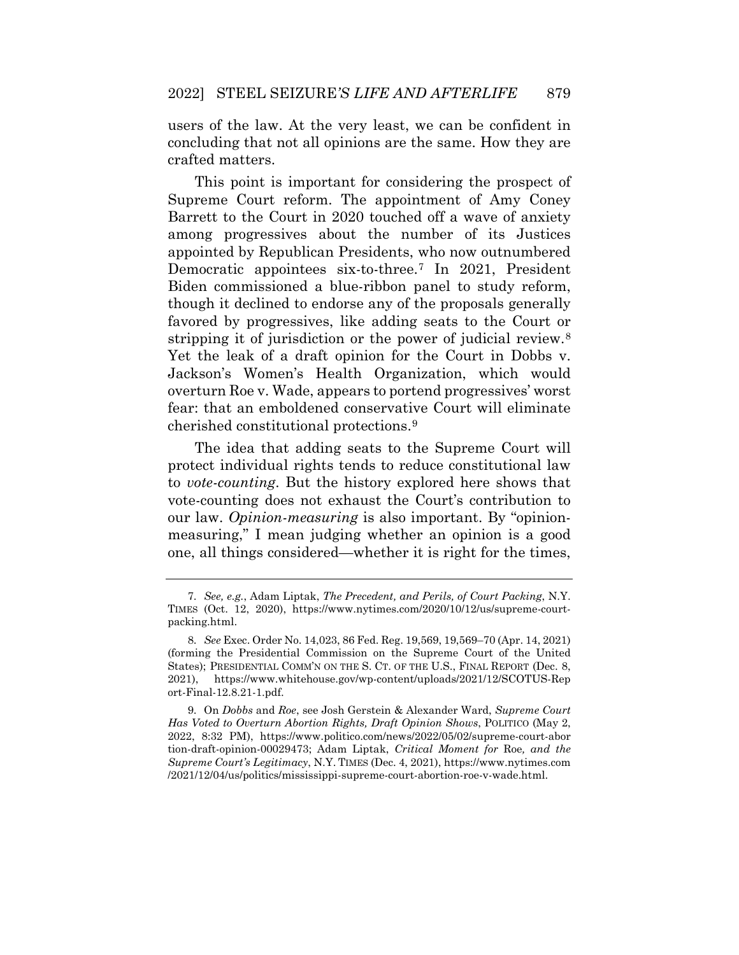concluding that not all opinions are the same. How they are users of the law. At the very least, we can be confident in crafted matters.

 among progressives about the number of its Justices Biden commissioned a blue-ribbon panel to study reform, This point is important for considering the prospect of Supreme Court reform. The appointment of Amy Coney Barrett to the Court in 2020 touched off a wave of anxiety appointed by Republican Presidents, who now outnumbered Democratic appointees six-to-three.[7](#page-5-0) In 2021, President though it declined to endorse any of the proposals generally favored by progressives, like adding seats to the Court or stripping it of jurisdiction or the power of judicial review.<sup>[8](#page-5-1)</sup> Yet the leak of a draft opinion for the Court in Dobbs v. Jackson's Women's Health Organization, which would overturn Roe v. Wade, appears to portend progressives' worst fear: that an emboldened conservative Court will eliminate cherished constitutional protections.[9](#page-5-2) 

 The idea that adding seats to the Supreme Court will protect individual rights tends to reduce constitutional law measuring," I mean judging whether an opinion is a good to *vote-counting*. But the history explored here shows that vote-counting does not exhaust the Court's contribution to our law. *Opinion-measuring* is also important. By "opinionone, all things considered—whether it is right for the times,

<span id="page-5-0"></span><sup>7.</sup> *See, e.g.*, Adam Liptak, *The Precedent, and Perils, of Court Packing*, N.Y. TIMES (Oct. 12, 2020), <https://www.nytimes.com/2020/10/12/us/supreme-court>packing.html.

<span id="page-5-1"></span> 8. *See* Exec. Order No. 14,023, 86 Fed. Reg. 19,569, 19,569–70 (Apr. 14, 2021) States); PRESIDENTIAL COMM'N ON THE S. CT. OF THE U.S., FINAL REPORT (Dec. 8, (forming the Presidential Commission on the Supreme Court of the United 2021), <https://www.whitehouse.gov/wp-content/uploads/2021/12/SCOTUS-Rep> ort-Final-12.8.21-1.pdf.

<span id="page-5-2"></span> *Has Voted to Overturn Abortion Rights, Draft Opinion Shows*, POLITICO (May 2, 2022, 8:32 PM), <https://www.politico.com/news/2022/05/02/supreme-court-abor> 9. On *Dobbs* and *Roe*, see Josh Gerstein & Alexander Ward, *Supreme Court*  tion-draft-opinion-00029473; Adam Liptak, *Critical Moment for* Roe*, and the Supreme Court's Legitimacy*, N.Y. TIMES (Dec. 4, 2021),<https://www.nytimes.com> /2021/12/04/us/politics/mississippi-supreme-court-abortion-roe-v-wade.html.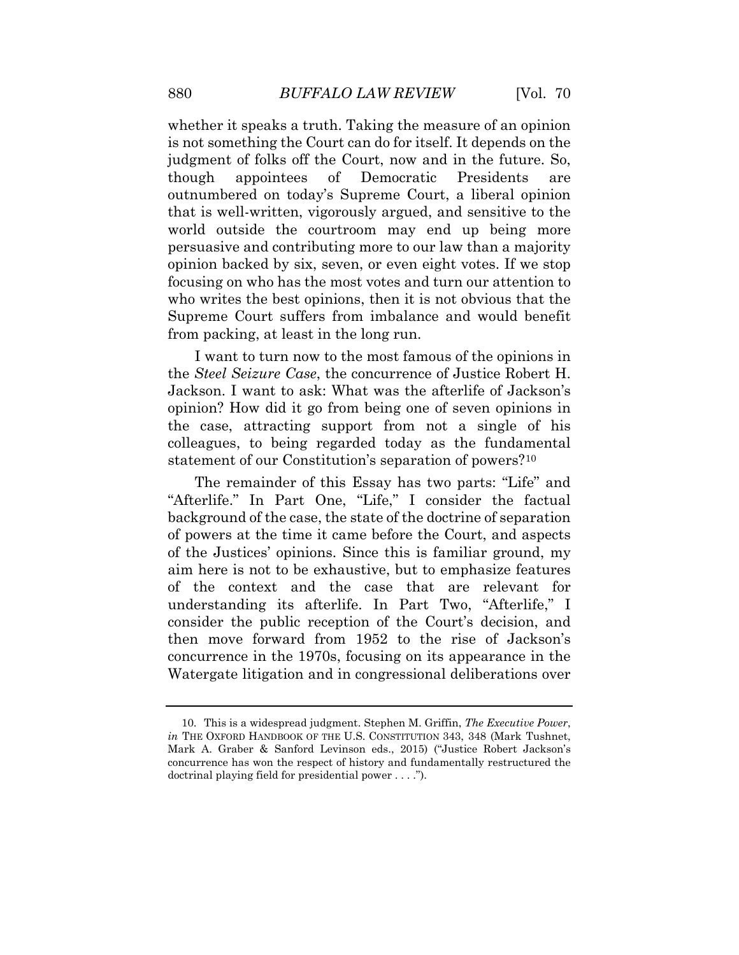whether it speaks a truth. Taking the measure of an opinion is not something the Court can do for itself. It depends on the judgment of folks off the Court, now and in the future. So, though appointees of Democratic Presidents are outnumbered on today's Supreme Court, a liberal opinion that is well-written, vigorously argued, and sensitive to the world outside the courtroom may end up being more persuasive and contributing more to our law than a majority opinion backed by six, seven, or even eight votes. If we stop focusing on who has the most votes and turn our attention to who writes the best opinions, then it is not obvious that the Supreme Court suffers from imbalance and would benefit from packing, at least in the long run.

 the case, attracting support from not a single of his I want to turn now to the most famous of the opinions in the *Steel Seizure Case*, the concurrence of Justice Robert H. Jackson. I want to ask: What was the afterlife of Jackson's opinion? How did it go from being one of seven opinions in colleagues, to being regarded today as the fundamental statement of our Constitution's separation of powers?[10](#page-6-0)

 The remainder of this Essay has two parts: "Life" and understanding its afterlife. In Part Two, "Afterlife," I Watergate litigation and in congressional deliberations over "Afterlife." In Part One, "Life," I consider the factual background of the case, the state of the doctrine of separation of powers at the time it came before the Court, and aspects of the Justices' opinions. Since this is familiar ground, my aim here is not to be exhaustive, but to emphasize features of the context and the case that are relevant for consider the public reception of the Court's decision, and then move forward from 1952 to the rise of Jackson's concurrence in the 1970s, focusing on its appearance in the

<span id="page-6-0"></span> *in* THE OXFORD HANDBOOK OF THE U.S. CONSTITUTION 343, 348 (Mark Tushnet, Mark A. Graber & Sanford Levinson eds., 2015) ("Justice Robert Jackson's concurrence has won the respect of history and fundamentally restructured the doctrinal playing field for presidential power . . . ."). 10. This is a widespread judgment. Stephen M. Griffin, *The Executive Power*,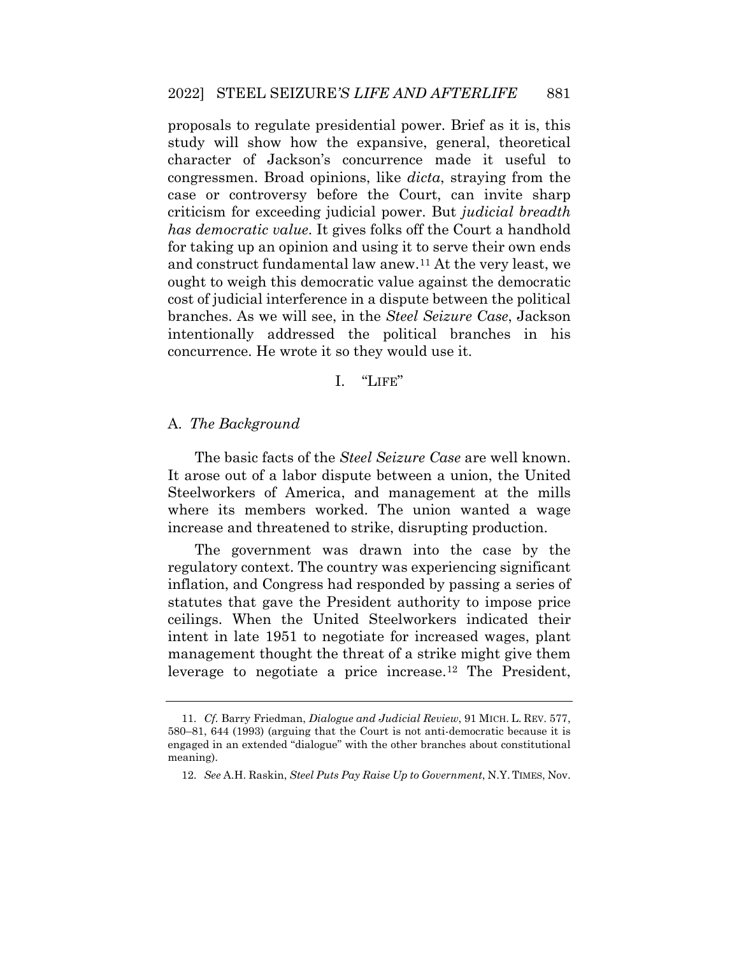proposals to regulate presidential power. Brief as it is, this study will show how the expansive, general, theoretical character of Jackson's concurrence made it useful to congressmen. Broad opinions, like *dicta*, straying from the case or controversy before the Court, can invite sharp criticism for exceeding judicial power. But *judicial breadth has democratic value*. It gives folks off the Court a handhold for taking up an opinion and using it to serve their own ends and construct fundamental law anew.[11](#page-7-0) At the very least, we ought to weigh this democratic value against the democratic cost of judicial interference in a dispute between the political branches. As we will see, in the *Steel Seizure Case*, Jackson intentionally addressed the political branches in his concurrence. He wrote it so they would use it.

# I. "LIFE"

# A. *The Background*

 The basic facts of the *Steel Seizure Case* are well known. where its members worked. The union wanted a wage It arose out of a labor dispute between a union, the United Steelworkers of America, and management at the mills increase and threatened to strike, disrupting production.

 The government was drawn into the case by the regulatory context. The country was experiencing significant inflation, and Congress had responded by passing a series of statutes that gave the President authority to impose price ceilings. When the United Steelworkers indicated their intent in late 1951 to negotiate for increased wages, plant management thought the threat of a strike might give them leverage to negotiate a price increase.[12](#page-8-0) The President,

<span id="page-7-0"></span> 11. *Cf.* Barry Friedman, *Dialogue and Judicial Review*, 91 MICH. L. REV. 577, 580–81, 644 (1993) (arguing that the Court is not anti-democratic because it is engaged in an extended "dialogue" with the other branches about constitutional meaning).

 12. *See* A.H. Raskin, *Steel Puts Pay Raise Up to Government*, N.Y. TIMES, Nov.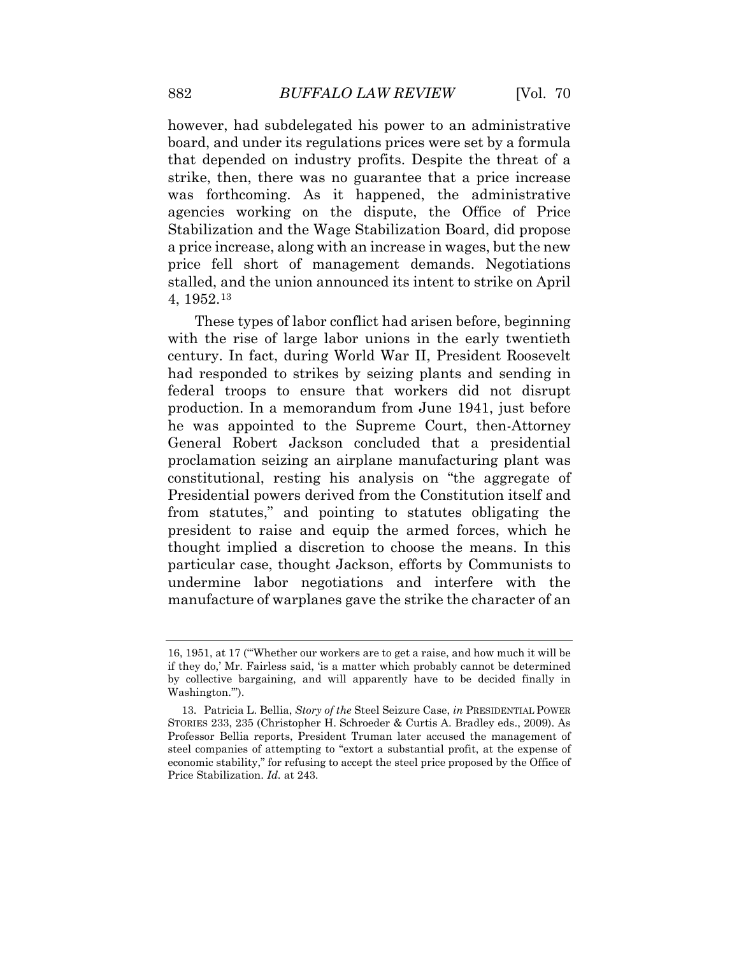agencies working on the dispute, the Office of Price however, had subdelegated his power to an administrative board, and under its regulations prices were set by a formula that depended on industry profits. Despite the threat of a strike, then, there was no guarantee that a price increase was forthcoming. As it happened, the administrative Stabilization and the Wage Stabilization Board, did propose a price increase, along with an increase in wages, but the new price fell short of management demands. Negotiations stalled, and the union announced its intent to strike on April 4, 1952.[13](#page-8-1) 

 particular case, thought Jackson, efforts by Communists to These types of labor conflict had arisen before, beginning with the rise of large labor unions in the early twentieth century. In fact, during World War II, President Roosevelt had responded to strikes by seizing plants and sending in federal troops to ensure that workers did not disrupt production. In a memorandum from June 1941, just before he was appointed to the Supreme Court, then-Attorney General Robert Jackson concluded that a presidential proclamation seizing an airplane manufacturing plant was constitutional, resting his analysis on "the aggregate of Presidential powers derived from the Constitution itself and from statutes," and pointing to statutes obligating the president to raise and equip the armed forces, which he thought implied a discretion to choose the means. In this undermine labor negotiations and interfere with the manufacture of warplanes gave the strike the character of an

<span id="page-8-0"></span> if they do,' Mr. Fairless said, 'is a matter which probably cannot be determined 16, 1951, at 17 ("'Whether our workers are to get a raise, and how much it will be by collective bargaining, and will apparently have to be decided finally in Washington.'").

<span id="page-8-1"></span> STORIES 233, 235 (Christopher H. Schroeder & Curtis A. Bradley eds., 2009). As Professor Bellia reports, President Truman later accused the management of steel companies of attempting to "extort a substantial profit, at the expense of Price Stabilization. *Id.* at 243. 13. Patricia L. Bellia, *Story of the* Steel Seizure Case, *in* PRESIDENTIAL POWER economic stability," for refusing to accept the steel price proposed by the Office of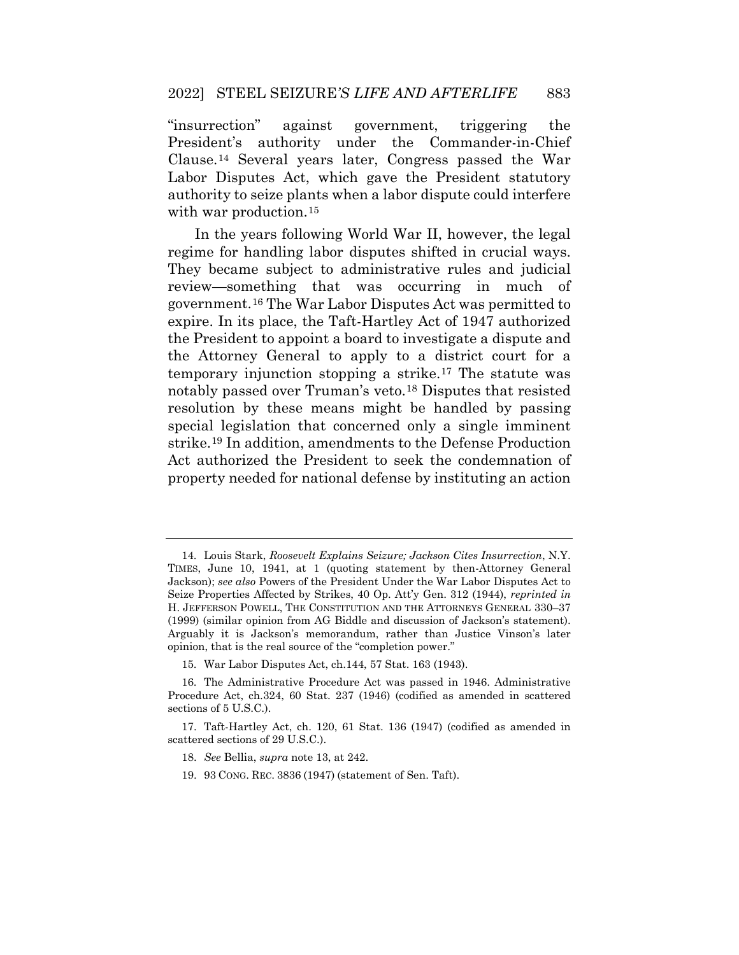"insurrection" against government, triggering the President's authority under the Commander-in-Chief Clause.[14](#page-9-0) Several years later, Congress passed the War Labor Disputes Act, which gave the President statutory authority to seize plants when a labor dispute could interfere with war production.<sup>[15](#page-9-1)</sup>

 regime for handling labor disputes shifted in crucial ways. expire. In its place, the Taft-Hartley Act of 1947 authorized notably passed over Truman's veto.[18](#page-9-4) Disputes that resisted In the years following World War II, however, the legal They became subject to administrative rules and judicial review—something that was occurring in much of government.[16](#page-9-2) The War Labor Disputes Act was permitted to the President to appoint a board to investigate a dispute and the Attorney General to apply to a district court for a temporary injunction stopping a strike.[17](#page-9-3) The statute was resolution by these means might be handled by passing special legislation that concerned only a single imminent strike.[19](#page-10-0) In addition, amendments to the Defense Production Act authorized the President to seek the condemnation of property needed for national defense by instituting an action

19. 93 CONG. REC. 3836 (1947) (statement of Sen. Taft).

<span id="page-9-0"></span> TIMES, June 10, 1941, at 1 (quoting statement by then-Attorney General Jackson); *see also* Powers of the President Under the War Labor Disputes Act to Seize Properties Affected by Strikes, 40 Op. Att'y Gen. 312 (1944), *reprinted in*  (1999) (similar opinion from AG Biddle and discussion of Jackson's statement). opinion, that is the real source of the "completion power." 14. Louis Stark, *Roosevelt Explains Seizure; Jackson Cites Insurrection*, N.Y. H. JEFFERSON POWELL, THE CONSTITUTION AND THE ATTORNEYS GENERAL 330–37 Arguably it is Jackson's memorandum, rather than Justice Vinson's later

<sup>15.</sup> War Labor Disputes Act, ch.144, 57 Stat. 163 (1943).

<span id="page-9-2"></span><span id="page-9-1"></span><sup>16.</sup> The Administrative Procedure Act was passed in 1946. Administrative Procedure Act, ch.324, 60 Stat. 237 (1946) (codified as amended in scattered sections of 5 U.S.C.).

<span id="page-9-4"></span><span id="page-9-3"></span><sup>17.</sup> Taft-Hartley Act, ch. 120, 61 Stat. 136 (1947) (codified as amended in scattered sections of 29 U.S.C.).

 18. *See* Bellia, *supra* note 13, at 242.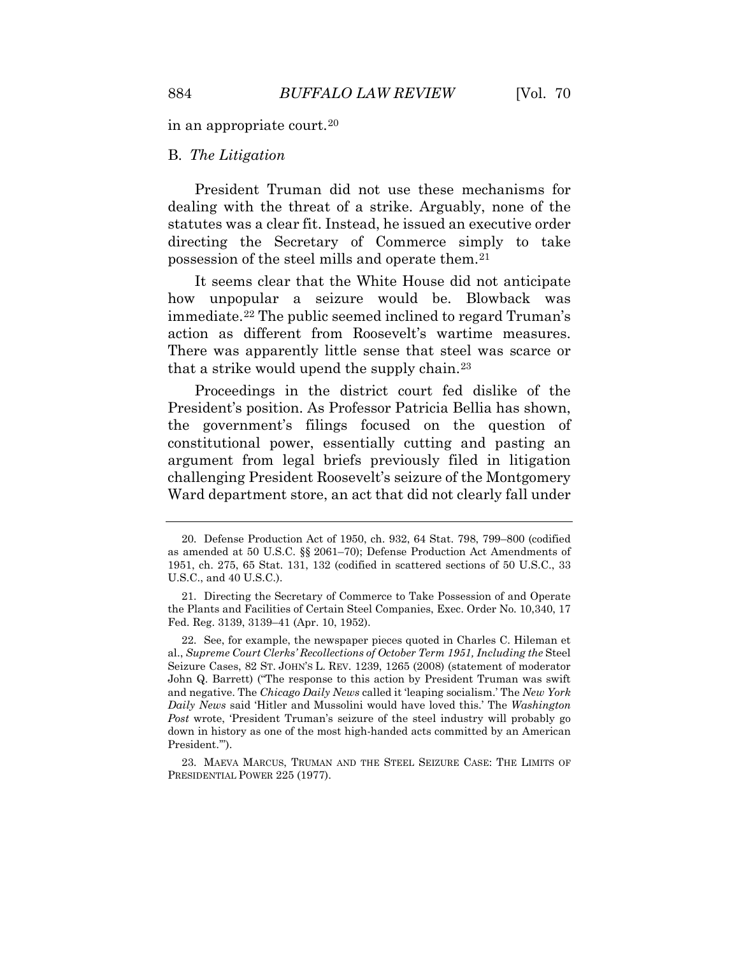in an appropriate court.[20](#page-10-1) 

#### B. *The Litigation*

 President Truman did not use these mechanisms for dealing with the threat of a strike. Arguably, none of the statutes was a clear fit. Instead, he issued an executive order directing the Secretary of Commerce simply to take possession of the steel mills and operate them.[21](#page-10-2)

 There was apparently little sense that steel was scarce or It seems clear that the White House did not anticipate how unpopular a seizure would be. Blowback was immediate.[22](#page-10-3) The public seemed inclined to regard Truman's action as different from Roosevelt's wartime measures. that a strike would upend the supply chain.[23](#page-10-4) 

 argument from legal briefs previously filed in litigation Proceedings in the district court fed dislike of the President's position. As Professor Patricia Bellia has shown, the government's filings focused on the question of constitutional power, essentially cutting and pasting an challenging President Roosevelt's seizure of the Montgomery Ward department store, an act that did not clearly fall under

<span id="page-10-1"></span><span id="page-10-0"></span><sup>20.</sup> Defense Production Act of 1950, ch. 932, 64 Stat. 798, 799–800 (codified as amended at 50 U.S.C. §§ 2061–70); Defense Production Act Amendments of 1951, ch. 275, 65 Stat. 131, 132 (codified in scattered sections of 50 U.S.C., 33 U.S.C., and 40 U.S.C.).

<span id="page-10-2"></span> the Plants and Facilities of Certain Steel Companies, Exec. Order No. 10,340, 17 Fed. Reg. 3139, 3139–41 (Apr. 10, 1952). 21. Directing the Secretary of Commerce to Take Possession of and Operate

<span id="page-10-3"></span> *Daily News* said 'Hitler and Mussolini would have loved this.' The *Washington*  22. See, for example, the newspaper pieces quoted in Charles C. Hileman et al., *Supreme Court Clerks' Recollections of October Term 1951, Including the* Steel Seizure Cases, 82 ST. JOHN'S L. REV. 1239, 1265 (2008) (statement of moderator John Q. Barrett) ("The response to this action by President Truman was swift and negative. The *Chicago Daily News* called it 'leaping socialism.' The *New York Post* wrote, 'President Truman's seizure of the steel industry will probably go down in history as one of the most high-handed acts committed by an American President.'").

<span id="page-10-4"></span><sup>23.</sup> MAEVA MARCUS, TRUMAN AND THE STEEL SEIZURE CASE: THE LIMITS OF PRESIDENTIAL POWER 225 (1977).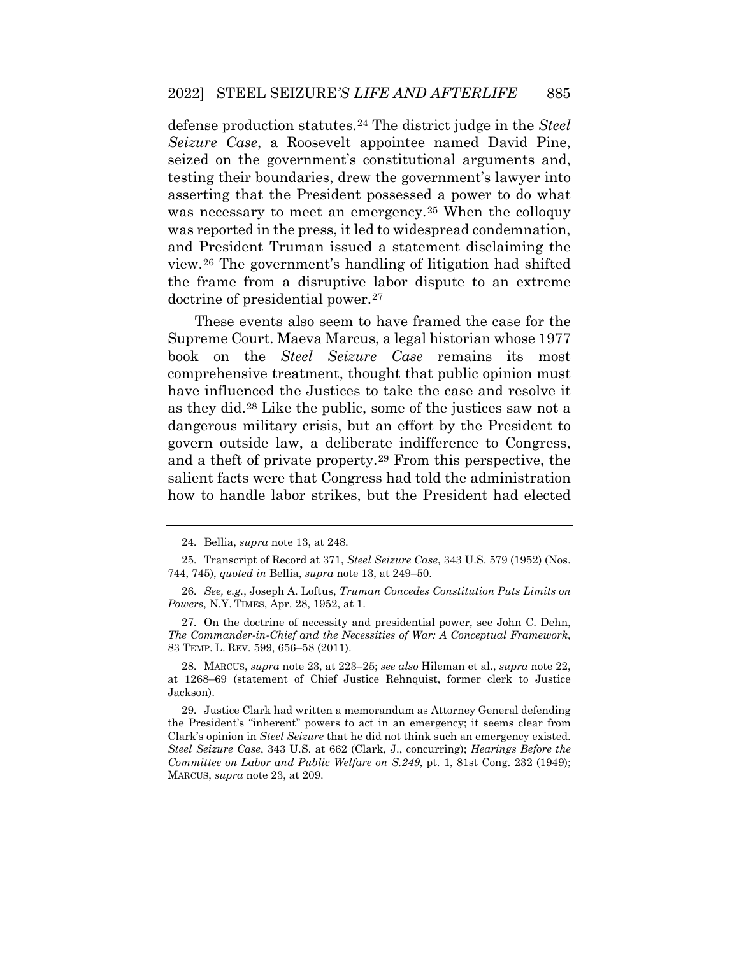defense production statutes.[24](#page-11-0) The district judge in the *Steel Seizure Case*, a Roosevelt appointee named David Pine, seized on the government's constitutional arguments and, testing their boundaries, drew the government's lawyer into asserting that the President possessed a power to do what was necessary to meet an emergency.<sup>25</sup> When the colloquy was reported in the press, it led to widespread condemnation, and President Truman issued a statement disclaiming the view.[26](#page-11-2) The government's handling of litigation had shifted the frame from a disruptive labor dispute to an extreme doctrine of presidential power.[27](#page-11-3)

These events also seem to have framed the case for the Supreme Court. Maeva Marcus, a legal historian whose 1977 book on the *Steel Seizure Case* remains its most comprehensive treatment, thought that public opinion must have influenced the Justices to take the case and resolve it as they did.[28](#page-11-4) Like the public, some of the justices saw not a dangerous military crisis, but an effort by the President to govern outside law, a deliberate indifference to Congress, and a theft of private property.[29](#page-11-5) From this perspective, the salient facts were that Congress had told the administration how to handle labor strikes, but the President had elected

<sup>24.</sup> Bellia, *supra* note 13, at 248.

 744, 745), *quoted in* Bellia, *supra* note 13, at 249–50. 25. Transcript of Record at 371, *Steel Seizure Case*, 343 U.S. 579 (1952) (Nos.

<span id="page-11-1"></span><span id="page-11-0"></span><sup>26.</sup> *See, e.g.*, Joseph A. Loftus, *Truman Concedes Constitution Puts Limits on Powers*, N.Y. TIMES, Apr. 28, 1952, at 1.

<span id="page-11-2"></span> *The Commander-in-Chief and the Necessities of War: A Conceptual Framework*, 83 TEMP. L. REV. 599, 656–58 (2011). 27. On the doctrine of necessity and presidential power, see John C. Dehn,

<span id="page-11-3"></span><sup>28.</sup> MARCUS, *supra* note 23, at 223–25; *see also* Hileman et al., *supra* note 22, at 1268–69 (statement of Chief Justice Rehnquist, former clerk to Justice Jackson).

<span id="page-11-5"></span><span id="page-11-4"></span> the President's "inherent" powers to act in an emergency; it seems clear from  *Committee on Labor and Public Welfare on S.249*, pt. 1, 81st Cong. 232 (1949); 29. Justice Clark had written a memorandum as Attorney General defending Clark's opinion in *Steel Seizure* that he did not think such an emergency existed. *Steel Seizure Case*, 343 U.S. at 662 (Clark, J., concurring); *Hearings Before the*  MARCUS, *supra* note 23, at 209.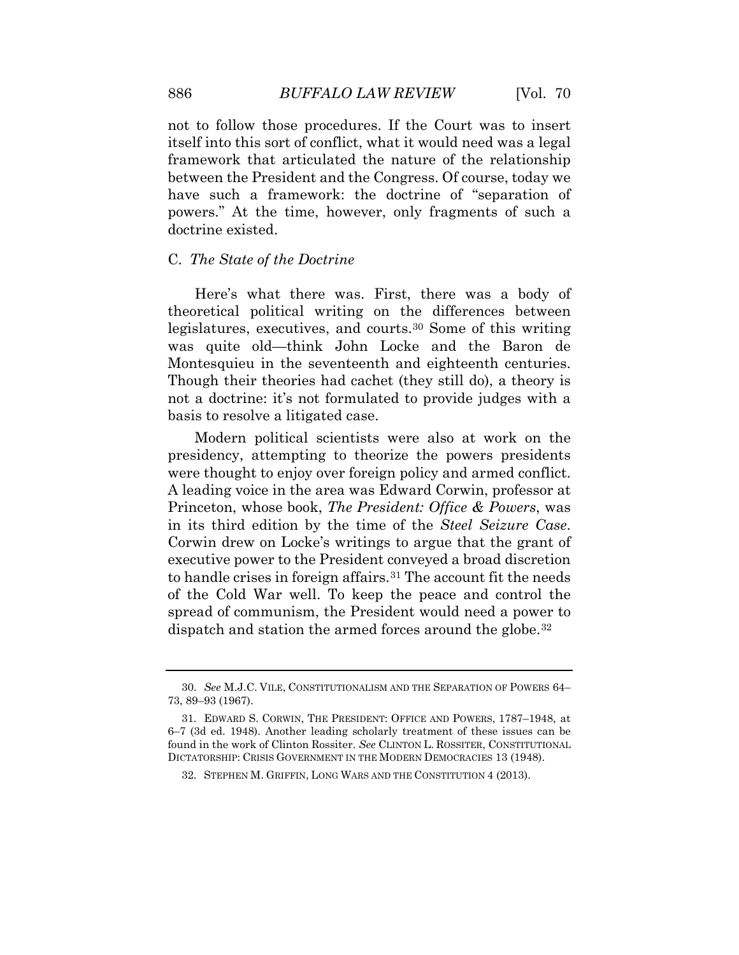not to follow those procedures. If the Court was to insert itself into this sort of conflict, what it would need was a legal framework that articulated the nature of the relationship between the President and the Congress. Of course, today we have such a framework: the doctrine of "separation of powers." At the time, however, only fragments of such a doctrine existed.

## C. *The State of the Doctrine*

 legislatures, executives, and courts.[30](#page-12-0) Some of this writing Here's what there was. First, there was a body of theoretical political writing on the differences between was quite old—think John Locke and the Baron de Montesquieu in the seventeenth and eighteenth centuries. Though their theories had cachet (they still do), a theory is not a doctrine: it's not formulated to provide judges with a basis to resolve a litigated case.

to handle crises in foreign affairs.<sup>[31](#page-12-1)</sup> The account fit the needs Modern political scientists were also at work on the presidency, attempting to theorize the powers presidents were thought to enjoy over foreign policy and armed conflict. A leading voice in the area was Edward Corwin, professor at Princeton, whose book, *The President: Office & Powers*, was in its third edition by the time of the *Steel Seizure Case*. Corwin drew on Locke's writings to argue that the grant of executive power to the President conveyed a broad discretion of the Cold War well. To keep the peace and control the spread of communism, the President would need a power to dispatch and station the armed forces around the globe.<sup>[32](#page-13-0)</sup>

 30. *See* M.J.C. VILE, CONSTITUTIONALISM AND THE SEPARATION OF POWERS 64– 73, 89–93 (1967).

<span id="page-12-1"></span><span id="page-12-0"></span> found in the work of Clinton Rossiter. *See* CLINTON L. ROSSITER, CONSTITUTIONAL DICTATORSHIP: CRISIS GOVERNMENT IN THE MODERN DEMOCRACIES 13 (1948). 31. EDWARD S. CORWIN, THE PRESIDENT: OFFICE AND POWERS, 1787–1948, at 6–7 (3d ed. 1948). Another leading scholarly treatment of these issues can be

<sup>32.</sup> STEPHEN M. GRIFFIN, LONG WARS AND THE CONSTITUTION 4 (2013).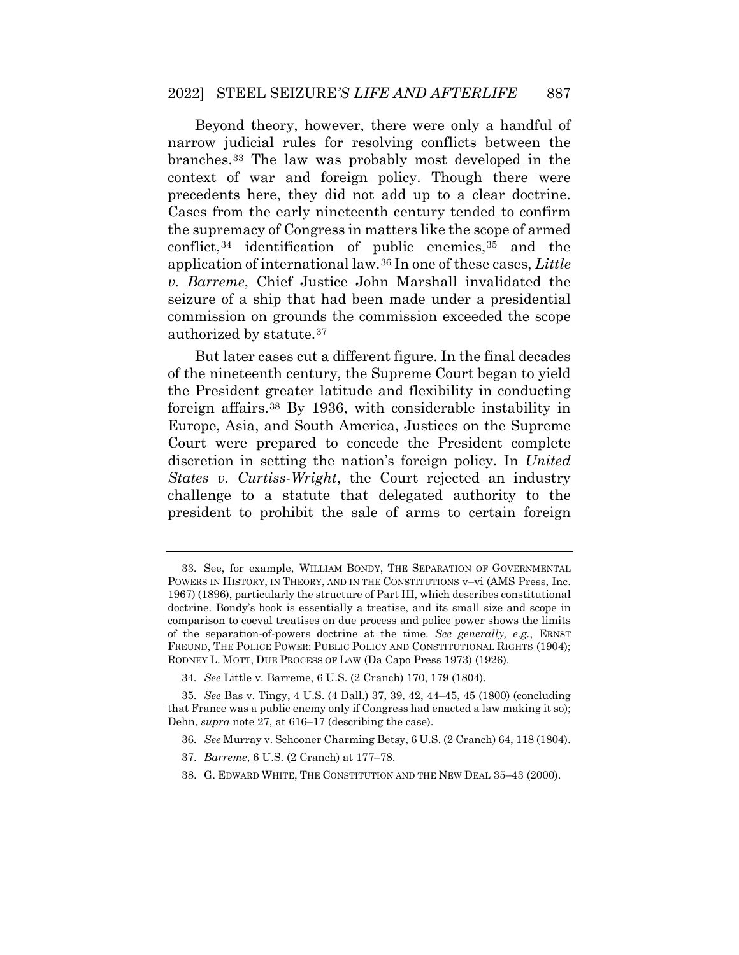branches.[33](#page-13-1) The law was probably most developed in the Beyond theory, however, there were only a handful of narrow judicial rules for resolving conflicts between the context of war and foreign policy. Though there were precedents here, they did not add up to a clear doctrine. Cases from the early nineteenth century tended to confirm the supremacy of Congress in matters like the scope of armed conflict,  $34$  identification of public enemies,  $35$  and the application of international law.[36](#page-13-4) In one of these cases, *Little v. Barreme*, Chief Justice John Marshall invalidated the seizure of a ship that had been made under a presidential commission on grounds the commission exceeded the scope authorized by statute.[37](#page-13-5) 

 of the nineteenth century, the Supreme Court began to yield Europe, Asia, and South America, Justices on the Supreme discretion in setting the nation's foreign policy. In *United*  But later cases cut a different figure. In the final decades the President greater latitude and flexibility in conducting foreign affairs.[38](#page-14-0) By 1936, with considerable instability in Court were prepared to concede the President complete *States v. Curtiss-Wright*, the Court rejected an industry challenge to a statute that delegated authority to the president to prohibit the sale of arms to certain foreign

38. G. EDWARD WHITE, THE CONSTITUTION AND THE NEW DEAL 35–43 (2000).

<span id="page-13-1"></span><span id="page-13-0"></span> doctrine. Bondy's book is essentially a treatise, and its small size and scope in of the separation-of-powers doctrine at the time. *See generally, e.g.*, ERNST RODNEY L. MOTT, DUE PROCESS OF LAW (Da Capo Press 1973) (1926). 33. See, for example, WILLIAM BONDY, THE SEPARATION OF GOVERNMENTAL POWERS IN HISTORY, IN THEORY, AND IN THE CONSTITUTIONS v–vi (AMS Press, Inc. 1967) (1896), particularly the structure of Part III, which describes constitutional comparison to coeval treatises on due process and police power shows the limits FREUND, THE POLICE POWER: PUBLIC POLICY AND CONSTITUTIONAL RIGHTS (1904);

<sup>34.</sup> *See* Little v. Barreme, 6 U.S. (2 Cranch) 170, 179 (1804).

<span id="page-13-5"></span><span id="page-13-4"></span><span id="page-13-3"></span><span id="page-13-2"></span><sup>35.</sup> *See* Bas v. Tingy, 4 U.S. (4 Dall.) 37, 39, 42, 44–45, 45 (1800) (concluding that France was a public enemy only if Congress had enacted a law making it so); Dehn, *supra* note 27, at 616–17 (describing the case).

<sup>36.</sup> *See* Murray v. Schooner Charming Betsy, 6 U.S. (2 Cranch) 64, 118 (1804).

<sup>37.</sup> *Barreme*, 6 U.S. (2 Cranch) at 177–78.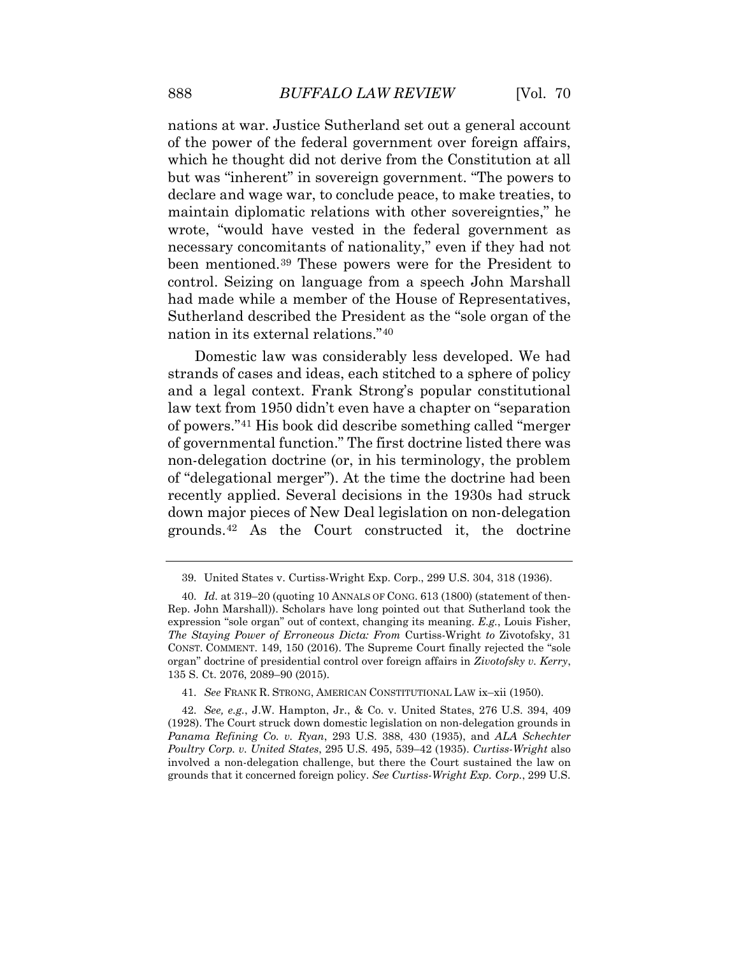$[Vol. 70$ 

 nations at war. Justice Sutherland set out a general account of the power of the federal government over foreign affairs, which he thought did not derive from the Constitution at all but was "inherent" in sovereign government. "The powers to declare and wage war, to conclude peace, to make treaties, to maintain diplomatic relations with other sovereignties," he wrote, "would have vested in the federal government as necessary concomitants of nationality," even if they had not been mentioned.[39](#page-14-1) These powers were for the President to control. Seizing on language from a speech John Marshall had made while a member of the House of Representatives, Sutherland described the President as the "sole organ of the nation in its external relations."[40](#page-14-2) 

 Domestic law was considerably less developed. We had strands of cases and ideas, each stitched to a sphere of policy non-delegation doctrine (or, in his terminology, the problem and a legal context. Frank Strong's popular constitutional law text from 1950 didn't even have a chapter on "separation of powers."[41](#page-14-3) His book did describe something called "merger of governmental function." The first doctrine listed there was of "delegational merger"). At the time the doctrine had been recently applied. Several decisions in the 1930s had struck down major pieces of New Deal legislation on non-delegation grounds.[42](#page-15-0) As the Court constructed it, the doctrine

<sup>39.</sup> United States v. Curtiss-Wright Exp. Corp., 299 U.S. 304, 318 (1936).

<span id="page-14-1"></span><span id="page-14-0"></span> 40. *Id.* at 319–20 (quoting 10 ANNALS OF CONG. 613 (1800) (statement of then- Rep. John Marshall)). Scholars have long pointed out that Sutherland took the expression "sole organ" out of context, changing its meaning. *E.g.*, Louis Fisher, *The Staying Power of Erroneous Dicta: From* Curtiss-Wright *to* Zivotofsky, 31 organ" doctrine of presidential control over foreign affairs in *Zivotofsky v. Kerry*, CONST. COMMENT. 149, 150 (2016). The Supreme Court finally rejected the "sole 135 S. Ct. 2076, 2089–90 (2015).

 41. *See* FRANK R. STRONG, AMERICAN CONSTITUTIONAL LAW ix–xii (1950).

<span id="page-14-3"></span><span id="page-14-2"></span><sup>42.</sup> *See, e.g.*, J.W. Hampton, Jr., & Co. v. United States, 276 U.S. 394, 409 (1928). The Court struck down domestic legislation on non-delegation grounds in *Panama Refining Co. v. Ryan*, 293 U.S. 388, 430 (1935), and *ALA Schechter Poultry Corp. v. United States*, 295 U.S. 495, 539–42 (1935). *Curtiss-Wright* also involved a non-delegation challenge, but there the Court sustained the law on grounds that it concerned foreign policy. *See Curtiss-Wright Exp. Corp.*, 299 U.S.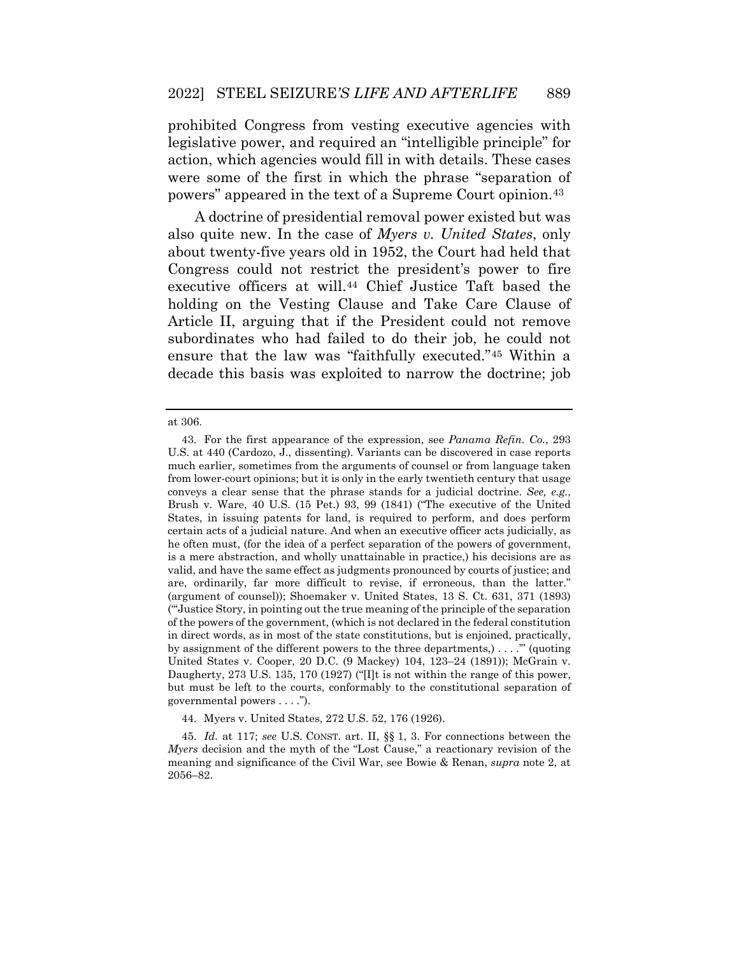prohibited Congress from vesting executive agencies with legislative power, and required an "intelligible principle" for action, which agencies would fill in with details. These cases were some of the first in which the phrase "separation of powers" appeared in the text of a Supreme Court opinion.[43](#page-15-1)

 Congress could not restrict the president's power to fire Article II, arguing that if the President could not remove A doctrine of presidential removal power existed but was also quite new. In the case of *Myers v. United States*, only about twenty-five years old in 1952, the Court had held that executive officers at will[.44](#page-16-0) Chief Justice Taft based the holding on the Vesting Clause and Take Care Clause of subordinates who had failed to do their job, he could not ensure that the law was "faithfully executed."[45](#page-16-1) Within a decade this basis was exploited to narrow the doctrine; job

<span id="page-15-0"></span>at 306.

<span id="page-15-1"></span> (argument of counsel)); Shoemaker v. United States, 13 S. Ct. 631, 371 (1893) ("'Justice Story, in pointing out the true meaning of the principle of the separation by assignment of the different powers to the three departments,) . . . .'" (quoting United States v. Cooper, 20 D.C. (9 Mackey) 104, 123–24 (1891)); McGrain v. Daugherty, 273 U.S. 135, 170 (1927) ("[I]t is not within the range of this power, governmental powers . . . ."). 43. For the first appearance of the expression, see *Panama Refin. Co.*, 293 U.S. at 440 (Cardozo, J., dissenting). Variants can be discovered in case reports much earlier, sometimes from the arguments of counsel or from language taken from lower-court opinions; but it is only in the early twentieth century that usage conveys a clear sense that the phrase stands for a judicial doctrine. *See, e.g.*, Brush v. Ware, 40 U.S. (15 Pet.) 93, 99 (1841) ("The executive of the United States, in issuing patents for land, is required to perform, and does perform certain acts of a judicial nature. And when an executive officer acts judicially, as he often must, (for the idea of a perfect separation of the powers of government, is a mere abstraction, and wholly unattainable in practice,) his decisions are as valid, and have the same effect as judgments pronounced by courts of justice; and are, ordinarily, far more difficult to revise, if erroneous, than the latter." of the powers of the government, (which is not declared in the federal constitution in direct words, as in most of the state constitutions, but is enjoined, practically, but must be left to the courts, conformably to the constitutional separation of

<sup>44.</sup> Myers v. United States, 272 U.S. 52, 176 (1926).

 45. *Id.* at 117; *see* U.S. CONST. art. II, §§ 1, 3. For connections between the *Myers* decision and the myth of the "Lost Cause," a reactionary revision of the meaning and significance of the Civil War, see Bowie & Renan, *supra* note 2, at 2056–82.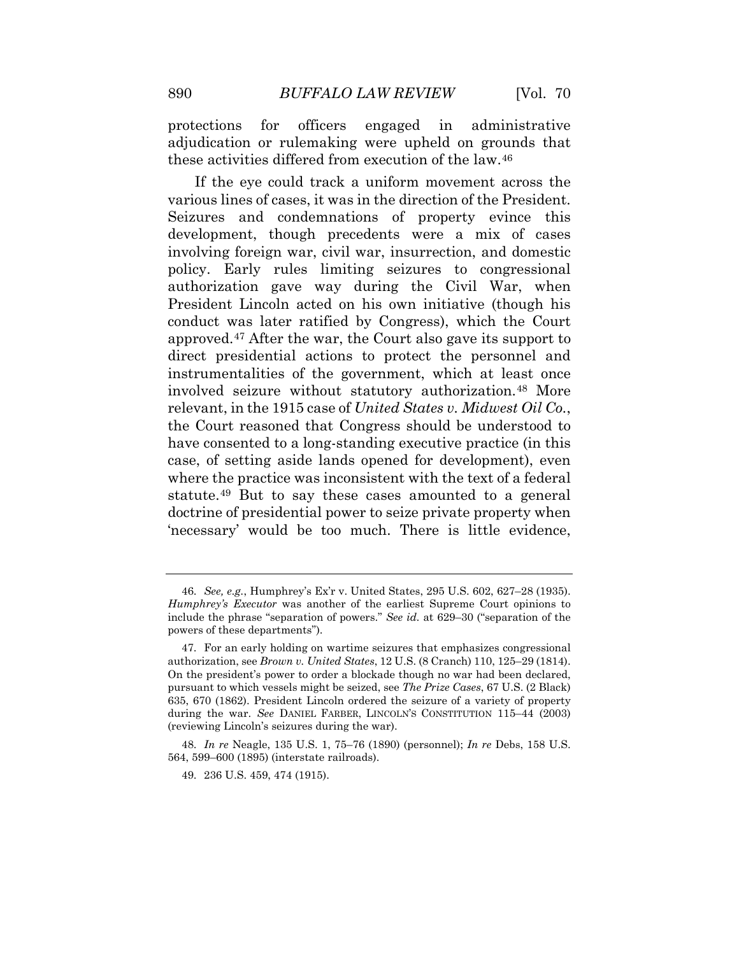protections for officers engaged in administrative adjudication or rulemaking were upheld on grounds that these activities differed from execution of the law.[46](#page-16-2) 

 approved.[47](#page-16-3) After the war, the Court also gave its support to have consented to a long-standing executive practice (in this where the practice was inconsistent with the text of a federal statute.[49](#page-17-1) But to say these cases amounted to a general If the eye could track a uniform movement across the various lines of cases, it was in the direction of the President. Seizures and condemnations of property evince this development, though precedents were a mix of cases involving foreign war, civil war, insurrection, and domestic policy. Early rules limiting seizures to congressional authorization gave way during the Civil War, when President Lincoln acted on his own initiative (though his conduct was later ratified by Congress), which the Court direct presidential actions to protect the personnel and instrumentalities of the government, which at least once involved seizure without statutory authorization.[48](#page-17-0) More relevant, in the 1915 case of *United States v. Midwest Oil Co.*, the Court reasoned that Congress should be understood to case, of setting aside lands opened for development), even doctrine of presidential power to seize private property when 'necessary' would be too much. There is little evidence,

<span id="page-16-1"></span><span id="page-16-0"></span> 46. *See, e.g.*, Humphrey's Ex'r v. United States, 295 U.S. 602, 627–28 (1935). *Humphrey's Executor* was another of the earliest Supreme Court opinions to include the phrase "separation of powers." *See id.* at 629–30 ("separation of the powers of these departments").

<span id="page-16-3"></span><span id="page-16-2"></span> authorization, see *Brown v. United States*, 12 U.S. (8 Cranch) 110, 125–29 (1814). On the president's power to order a blockade though no war had been declared, pursuant to which vessels might be seized, see *The Prize Cases*, 67 U.S. (2 Black) (reviewing Lincoln's seizures during the war). 47. For an early holding on wartime seizures that emphasizes congressional 635, 670 (1862). President Lincoln ordered the seizure of a variety of property during the war. *See* DANIEL FARBER, LINCOLN'S CONSTITUTION 115–44 (2003)

 48. *In re* Neagle, 135 U.S. 1, 75–76 (1890) (personnel); *In re* Debs, 158 U.S. 564, 599–600 (1895) (interstate railroads).

<sup>49. 236</sup> U.S. 459, 474 (1915).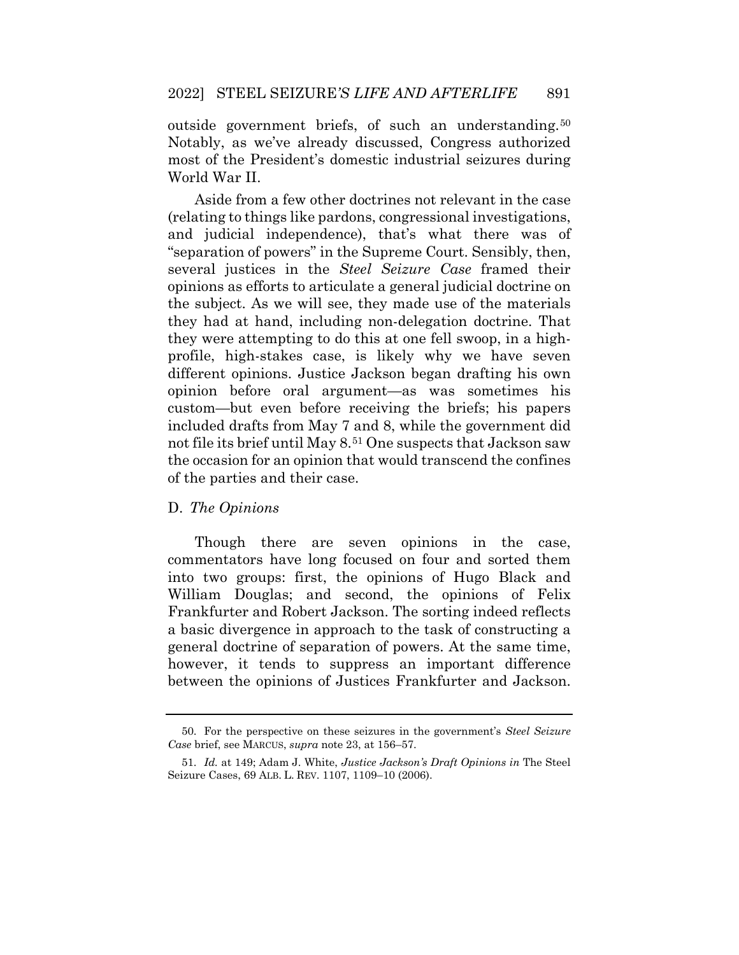most of the President's domestic industrial seizures during outside government briefs, of such an understanding.<sup>[50](#page-17-2)</sup> Notably, as we've already discussed, Congress authorized World War II.

 and judicial independence), that's what there was of Aside from a few other doctrines not relevant in the case (relating to things like pardons, congressional investigations, "separation of powers" in the Supreme Court. Sensibly, then, several justices in the *Steel Seizure Case* framed their opinions as efforts to articulate a general judicial doctrine on the subject. As we will see, they made use of the materials they had at hand, including non-delegation doctrine. That they were attempting to do this at one fell swoop, in a highprofile, high-stakes case, is likely why we have seven different opinions. Justice Jackson began drafting his own opinion before oral argument—as was sometimes his custom—but even before receiving the briefs; his papers included drafts from May 7 and 8, while the government did not file its brief until May 8.[51](#page-17-3) One suspects that Jackson saw the occasion for an opinion that would transcend the confines of the parties and their case.

#### D. *The Opinions*

 Though there are seven opinions in the case, into two groups: first, the opinions of Hugo Black and William Douglas; and second, the opinions of Felix a basic divergence in approach to the task of constructing a between the opinions of Justices Frankfurter and Jackson. commentators have long focused on four and sorted them Frankfurter and Robert Jackson. The sorting indeed reflects general doctrine of separation of powers. At the same time, however, it tends to suppress an important difference

<span id="page-17-3"></span><span id="page-17-2"></span><span id="page-17-1"></span><span id="page-17-0"></span><sup>50.</sup> For the perspective on these seizures in the government's *Steel Seizure Case* brief, see MARCUS, *supra* note 23, at 156–57.

 51. *Id.* at 149; Adam J. White, *Justice Jackson's Draft Opinions in* The Steel Seizure Cases, 69 ALB. L. REV. 1107, 1109–10 (2006).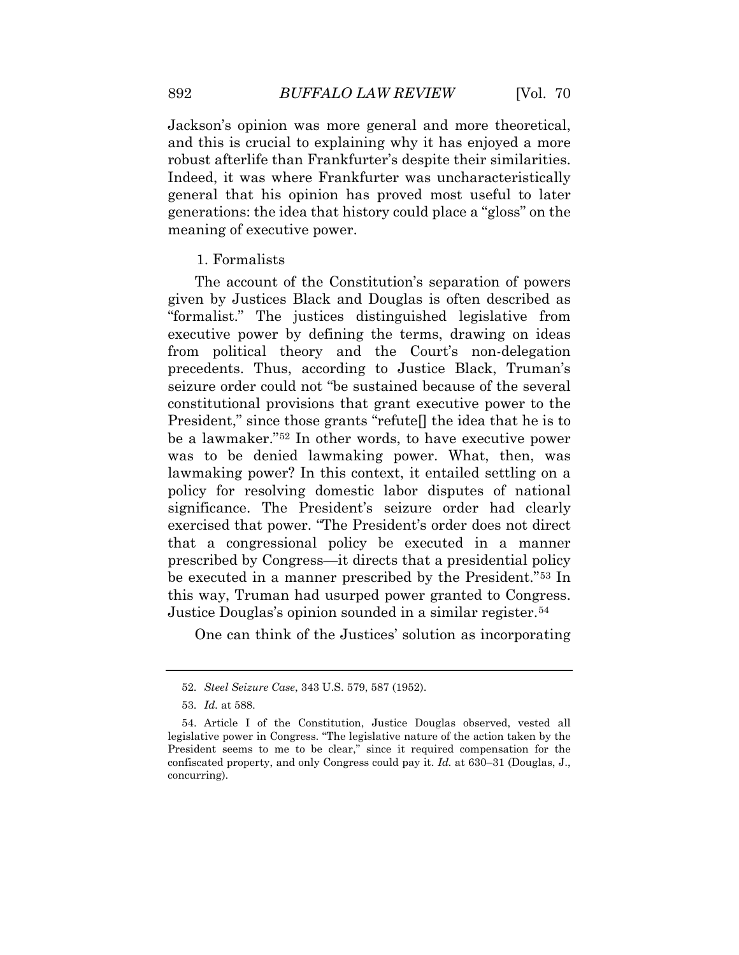Indeed, it was where Frankfurter was uncharacteristically generations: the idea that history could place a "gloss" on the Jackson's opinion was more general and more theoretical, and this is crucial to explaining why it has enjoyed a more robust afterlife than Frankfurter's despite their similarities. general that his opinion has proved most useful to later meaning of executive power.

#### 1. Formalists

 was to be denied lawmaking power. What, then, was that a congressional policy be executed in a manner The account of the Constitution's separation of powers given by Justices Black and Douglas is often described as "formalist." The justices distinguished legislative from executive power by defining the terms, drawing on ideas from political theory and the Court's non-delegation precedents. Thus, according to Justice Black, Truman's seizure order could not "be sustained because of the several constitutional provisions that grant executive power to the President," since those grants "refute[] the idea that he is to be a lawmaker."[52](#page-18-0) In other words, to have executive power lawmaking power? In this context, it entailed settling on a policy for resolving domestic labor disputes of national significance. The President's seizure order had clearly exercised that power. "The President's order does not direct prescribed by Congress—it directs that a presidential policy be executed in a manner prescribed by the President."[53](#page-19-0) In this way, Truman had usurped power granted to Congress. Justice Douglas's opinion sounded in a similar register.[54](#page-19-1)

One can think of the Justices' solution as incorporating

<sup>52.</sup> *Steel Seizure Case*, 343 U.S. 579, 587 (1952).

 53. *Id.* at 588.

<span id="page-18-0"></span> legislative power in Congress. "The legislative nature of the action taken by the President seems to me to be clear," since it required compensation for the 54. Article I of the Constitution, Justice Douglas observed, vested all confiscated property, and only Congress could pay it. *Id.* at 630–31 (Douglas, J., concurring).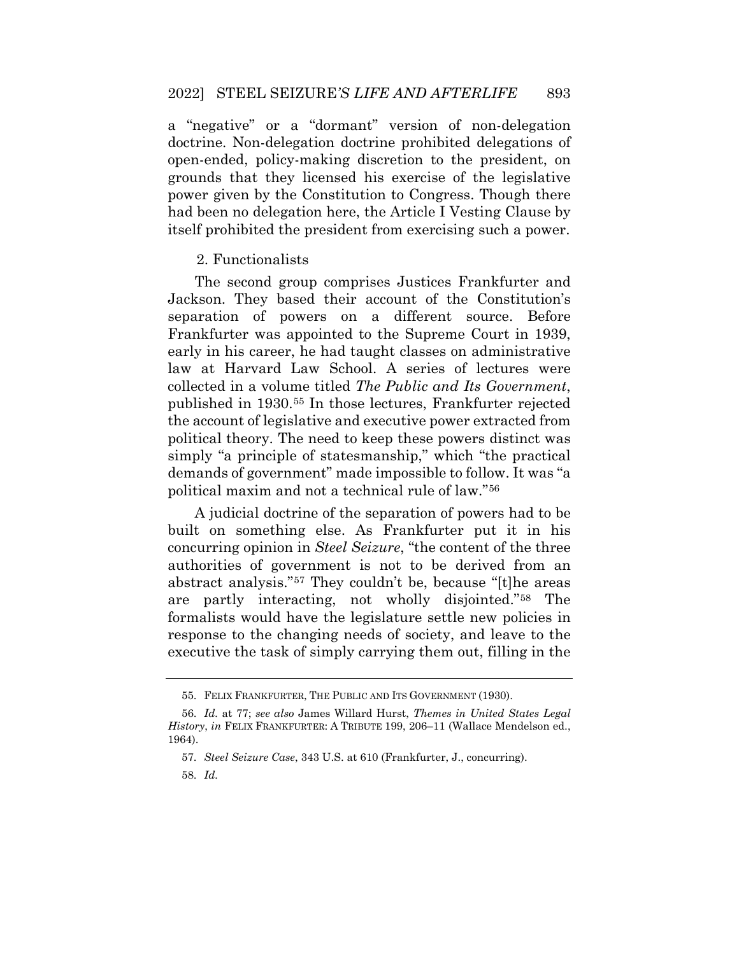a "negative" or a "dormant" version of non-delegation doctrine. Non-delegation doctrine prohibited delegations of open-ended, policy-making discretion to the president, on grounds that they licensed his exercise of the legislative power given by the Constitution to Congress. Though there had been no delegation here, the Article I Vesting Clause by itself prohibited the president from exercising such a power.

#### 2. Functionalists

 Frankfurter was appointed to the Supreme Court in 1939, published in 1930.[55](#page-19-2) In those lectures, Frankfurter rejected The second group comprises Justices Frankfurter and Jackson. They based their account of the Constitution's separation of powers on a different source. Before early in his career, he had taught classes on administrative law at Harvard Law School. A series of lectures were collected in a volume titled *The Public and Its Government*, the account of legislative and executive power extracted from political theory. The need to keep these powers distinct was simply "a principle of statesmanship," which "the practical demands of government" made impossible to follow. It was "a political maxim and not a technical rule of law."[56](#page-20-0) 

 abstract analysis."[57](#page-20-1) They couldn't be, because "[t]he areas A judicial doctrine of the separation of powers had to be built on something else. As Frankfurter put it in his concurring opinion in *Steel Seizure*, "the content of the three authorities of government is not to be derived from an are partly interacting, not wholly disjointed."[58](#page-20-2) The formalists would have the legislature settle new policies in response to the changing needs of society, and leave to the executive the task of simply carrying them out, filling in the

<sup>55.</sup> FELIX FRANKFURTER, THE PUBLIC AND ITS GOVERNMENT (1930).

<span id="page-19-2"></span><span id="page-19-1"></span><span id="page-19-0"></span> 56. *Id.* at 77; *see also* James Willard Hurst, *Themes in United States Legal History*, *in* FELIX FRANKFURTER: A TRIBUTE 199, 206–11 (Wallace Mendelson ed., 1964).

<sup>57.</sup> *Steel Seizure Case*, 343 U.S. at 610 (Frankfurter, J., concurring).

<sup>58.</sup> *Id.*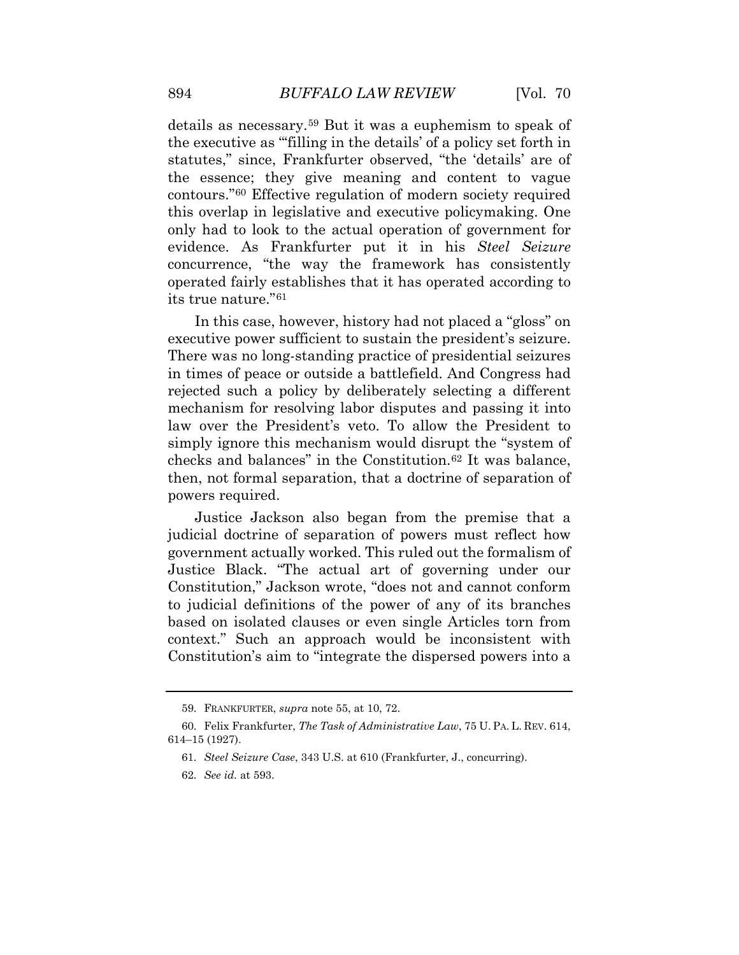the executive as "'filling in the details' of a policy set forth in the essence; they give meaning and content to vague contours."[60](#page-20-4) Effective regulation of modern society required details as necessary.[59](#page-20-3) But it was a euphemism to speak of statutes," since, Frankfurter observed, "the 'details' are of this overlap in legislative and executive policymaking. One only had to look to the actual operation of government for evidence. As Frankfurter put it in his *Steel Seizure*  concurrence, "the way the framework has consistently operated fairly establishes that it has operated according to its true nature."[61](#page-20-5) 

 executive power sufficient to sustain the president's seizure. in times of peace or outside a battlefield. And Congress had In this case, however, history had not placed a "gloss" on There was no long-standing practice of presidential seizures rejected such a policy by deliberately selecting a different mechanism for resolving labor disputes and passing it into law over the President's veto. To allow the President to simply ignore this mechanism would disrupt the "system of checks and balances" in the Constitution.[62](#page-21-0) It was balance, then, not formal separation, that a doctrine of separation of powers required.

 Justice Jackson also began from the premise that a to judicial definitions of the power of any of its branches judicial doctrine of separation of powers must reflect how government actually worked. This ruled out the formalism of Justice Black. "The actual art of governing under our Constitution," Jackson wrote, "does not and cannot conform based on isolated clauses or even single Articles torn from context." Such an approach would be inconsistent with Constitution's aim to "integrate the dispersed powers into a

<sup>59.</sup> FRANKFURTER, *supra* note 55, at 10, 72.

<span id="page-20-5"></span><span id="page-20-4"></span><span id="page-20-3"></span><span id="page-20-2"></span><span id="page-20-1"></span><span id="page-20-0"></span><sup>60.</sup> Felix Frankfurter, *The Task of Administrative Law*, 75 U. PA. L. REV. 614, 614–15 (1927).

<sup>61.</sup> *Steel Seizure Case*, 343 U.S. at 610 (Frankfurter, J., concurring).

 62. *See id.* at 593.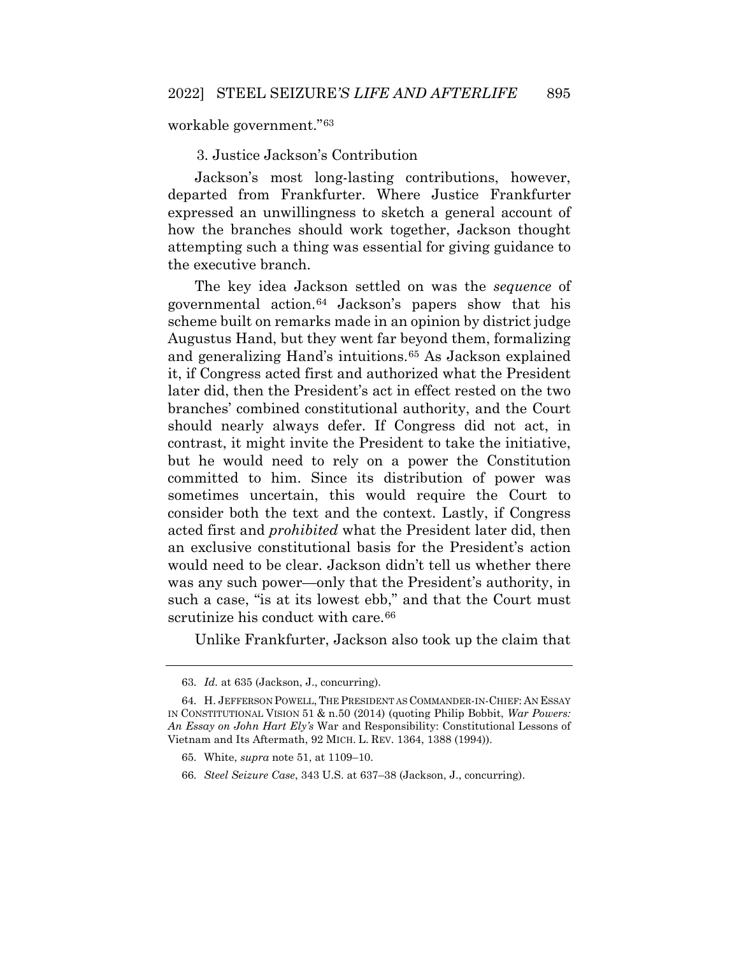workable government."[63](#page-21-1) 

3. Justice Jackson's Contribution

Jackson's most long-lasting contributions, however, departed from Frankfurter. Where Justice Frankfurter expressed an unwillingness to sketch a general account of how the branches should work together, Jackson thought attempting such a thing was essential for giving guidance to the executive branch.

 scheme built on remarks made in an opinion by district judge Augustus Hand, but they went far beyond them, formalizing committed to him. Since its distribution of power was The key idea Jackson settled on was the *sequence* of governmental action.[64](#page-21-2) Jackson's papers show that his and generalizing Hand's intuitions.[65](#page-21-3) As Jackson explained it, if Congress acted first and authorized what the President later did, then the President's act in effect rested on the two branches' combined constitutional authority, and the Court should nearly always defer. If Congress did not act, in contrast, it might invite the President to take the initiative, but he would need to rely on a power the Constitution sometimes uncertain, this would require the Court to consider both the text and the context. Lastly, if Congress acted first and *prohibited* what the President later did, then an exclusive constitutional basis for the President's action would need to be clear. Jackson didn't tell us whether there was any such power—only that the President's authority, in such a case, "is at its lowest ebb," and that the Court must scrutinize his conduct with care.<sup>66</sup>

Unlike Frankfurter, Jackson also took up the claim that

 63. *Id.* at 635 (Jackson, J., concurring).

<span id="page-21-3"></span><span id="page-21-2"></span><span id="page-21-1"></span><span id="page-21-0"></span> IN CONSTITUTIONAL VISION 51 & n.50 (2014) (quoting Philip Bobbit, *War Powers:*  Vietnam and Its Aftermath, 92 MICH. L. REV. 1364, 1388 (1994)). 64. H. JEFFERSON POWELL, THE PRESIDENT AS COMMANDER-IN-CHIEF: AN ESSAY *An Essay on John Hart Ely's* War and Responsibility: Constitutional Lessons of

<sup>65.</sup> White, *supra* note 51, at 1109–10.

<sup>66.</sup> *Steel Seizure Case*, 343 U.S. at 637–38 (Jackson, J., concurring).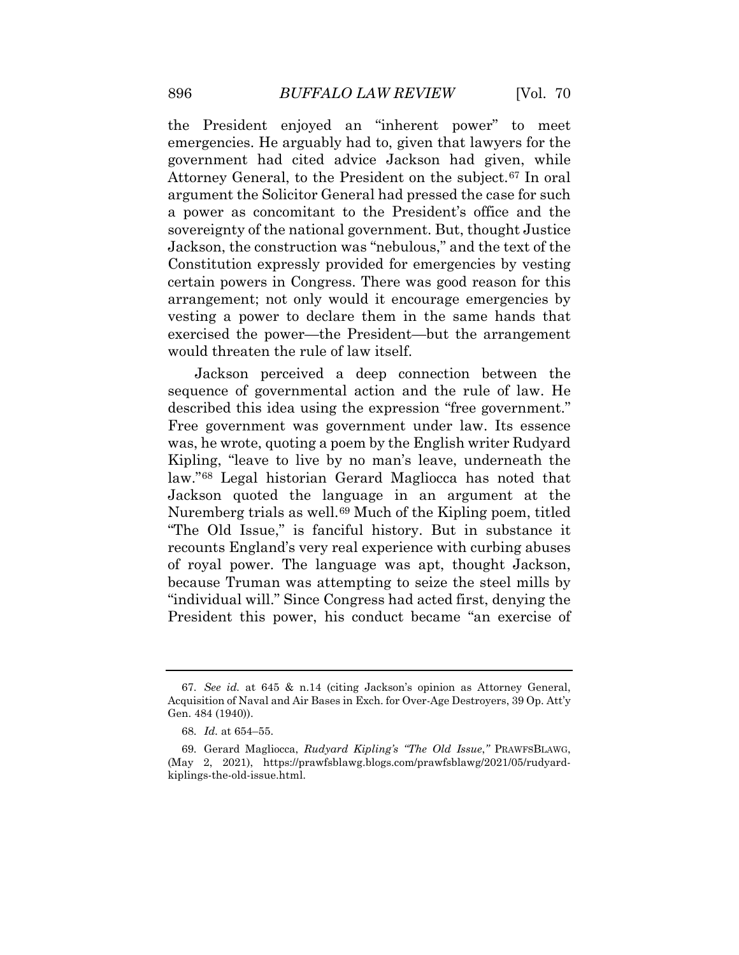government had cited advice Jackson had given, while certain powers in Congress. There was good reason for this the President enjoyed an "inherent power" to meet emergencies. He arguably had to, given that lawyers for the Attorney General, to the President on the subject.[67](#page-22-1) In oral argument the Solicitor General had pressed the case for such a power as concomitant to the President's office and the sovereignty of the national government. But, thought Justice Jackson, the construction was "nebulous," and the text of the Constitution expressly provided for emergencies by vesting arrangement; not only would it encourage emergencies by vesting a power to declare them in the same hands that exercised the power—the President—but the arrangement would threaten the rule of law itself.

 Jackson perceived a deep connection between the Nuremberg trials as well.<sup>[69](#page-23-1)</sup> Much of the Kipling poem, titled of royal power. The language was apt, thought Jackson, sequence of governmental action and the rule of law. He described this idea using the expression "free government." Free government was government under law. Its essence was, he wrote, quoting a poem by the English writer Rudyard Kipling, "leave to live by no man's leave, underneath the law."[68](#page-23-0) Legal historian Gerard Magliocca has noted that Jackson quoted the language in an argument at the "The Old Issue," is fanciful history. But in substance it recounts England's very real experience with curbing abuses because Truman was attempting to seize the steel mills by "individual will." Since Congress had acted first, denying the President this power, his conduct became "an exercise of

<span id="page-22-0"></span> 67. *See id.* at 645 & n.14 (citing Jackson's opinion as Attorney General, Acquisition of Naval and Air Bases in Exch. for Over-Age Destroyers, 39 Op. Att'y Gen. 484 (1940)).

 68. *Id.* at 654–55.

<span id="page-22-1"></span><sup>69.</sup> Gerard Magliocca, *Rudyard Kipling's "The Old Issue*,*"* PRAWFSBLAWG, (May 2, 2021), <https://prawfsblawg.blogs.com/prawfsblawg/2021/05/rudyard>kiplings-the-old-issue.html.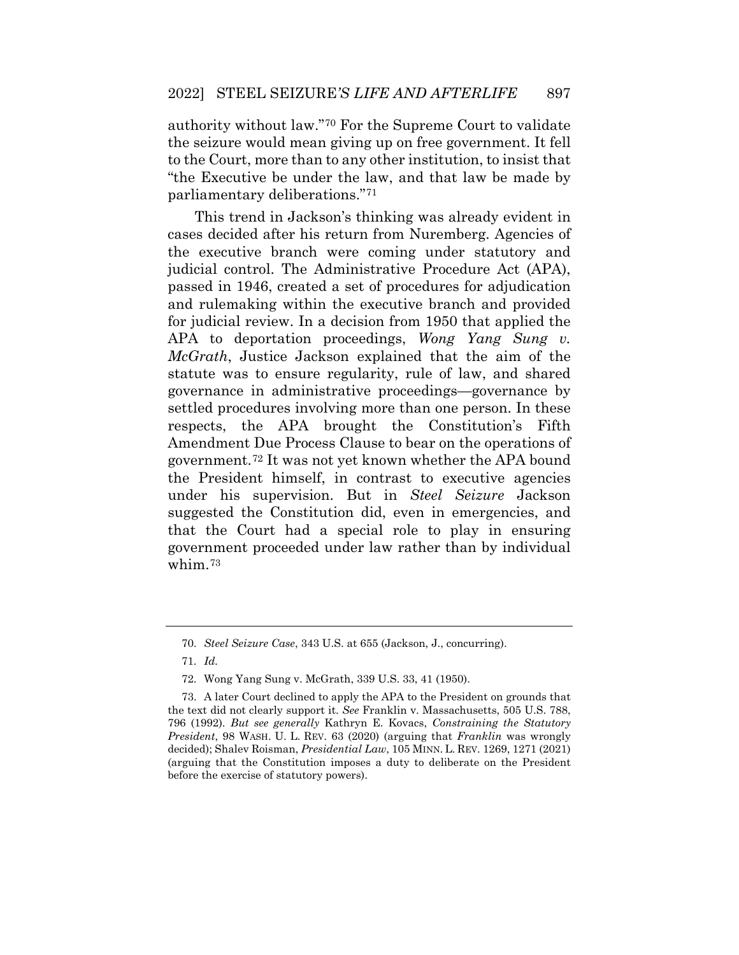"the Executive be under the law, and that law be made by authority without law."[70](#page-23-2) For the Supreme Court to validate the seizure would mean giving up on free government. It fell to the Court, more than to any other institution, to insist that parliamentary deliberations."[71](#page-23-3)

 *McGrath*, Justice Jackson explained that the aim of the government.[72](#page-24-0) It was not yet known whether the APA bound This trend in Jackson's thinking was already evident in cases decided after his return from Nuremberg. Agencies of the executive branch were coming under statutory and judicial control. The Administrative Procedure Act (APA), passed in 1946, created a set of procedures for adjudication and rulemaking within the executive branch and provided for judicial review. In a decision from 1950 that applied the APA to deportation proceedings, *Wong Yang Sung v.*  statute was to ensure regularity, rule of law, and shared governance in administrative proceedings—governance by settled procedures involving more than one person. In these respects, the APA brought the Constitution's Fifth Amendment Due Process Clause to bear on the operations of the President himself, in contrast to executive agencies under his supervision. But in *Steel Seizure* Jackson suggested the Constitution did, even in emergencies, and that the Court had a special role to play in ensuring government proceeded under law rather than by individual whim.[73](#page-24-1) 

<sup>70.</sup> *Steel Seizure Case*, 343 U.S. at 655 (Jackson, J., concurring).

<sup>71.</sup> *Id.* 

<sup>72.</sup> Wong Yang Sung v. McGrath, 339 U.S. 33, 41 (1950).

<span id="page-23-3"></span><span id="page-23-2"></span><span id="page-23-1"></span><span id="page-23-0"></span> 796 (1992). *But see generally* Kathryn E. Kovacs, *Constraining the Statutory President*, 98 WASH. U. L. REV. 63 (2020) (arguing that *Franklin* was wrongly decided); Shalev Roisman, *Presidential Law*, 105 MINN. L. REV. 1269, 1271 (2021) (arguing that the Constitution imposes a duty to deliberate on the President 73. A later Court declined to apply the APA to the President on grounds that the text did not clearly support it. *See* Franklin v. Massachusetts, 505 U.S. 788, before the exercise of statutory powers).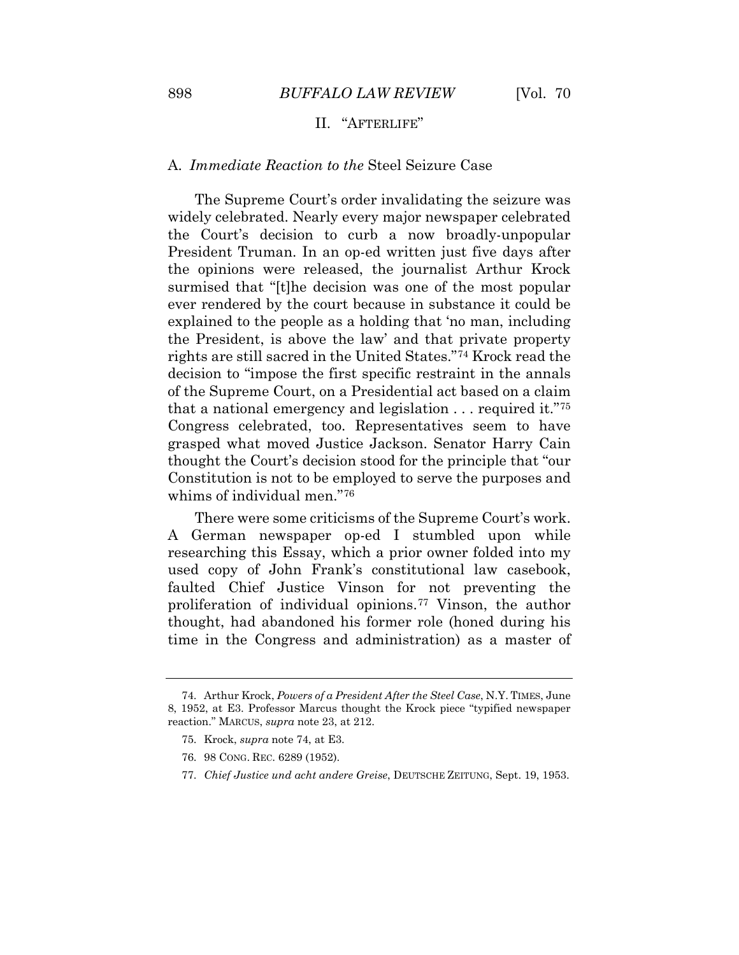# II. "AFTERLIFE"

## A. *Immediate Reaction to the* Steel Seizure Case

 ever rendered by the court because in substance it could be decision to "impose the first specific restraint in the annals that a national emergency and legislation . . . required it."[75](#page-25-0) The Supreme Court's order invalidating the seizure was widely celebrated. Nearly every major newspaper celebrated the Court's decision to curb a now broadly-unpopular President Truman. In an op-ed written just five days after the opinions were released, the journalist Arthur Krock surmised that "[t]he decision was one of the most popular explained to the people as a holding that 'no man, including the President, is above the law' and that private property rights are still sacred in the United States."[74](#page-24-2) Krock read the of the Supreme Court, on a Presidential act based on a claim Congress celebrated, too. Representatives seem to have grasped what moved Justice Jackson. Senator Harry Cain thought the Court's decision stood for the principle that "our Constitution is not to be employed to serve the purposes and whims of individual men."[76](#page-25-1) 

There were some criticisms of the Supreme Court's work. A German newspaper op-ed I stumbled upon while researching this Essay, which a prior owner folded into my used copy of John Frank's constitutional law casebook, faulted Chief Justice Vinson for not preventing the proliferation of individual opinions.[77](#page-25-2) Vinson, the author thought, had abandoned his former role (honed during his time in the Congress and administration) as a master of

<span id="page-24-2"></span><span id="page-24-1"></span><span id="page-24-0"></span> 8, 1952, at E3. Professor Marcus thought the Krock piece "typified newspaper 74. Arthur Krock, *Powers of a President After the Steel Case*, N.Y. TIMES, June reaction." MARCUS, *supra* note 23, at 212.

<sup>75.</sup> Krock, *supra* note 74, at E3.

<sup>76. 98</sup> CONG. REC. 6289 (1952).

<sup>77.</sup> *Chief Justice und acht andere Greise*, DEUTSCHE ZEITUNG, Sept. 19, 1953.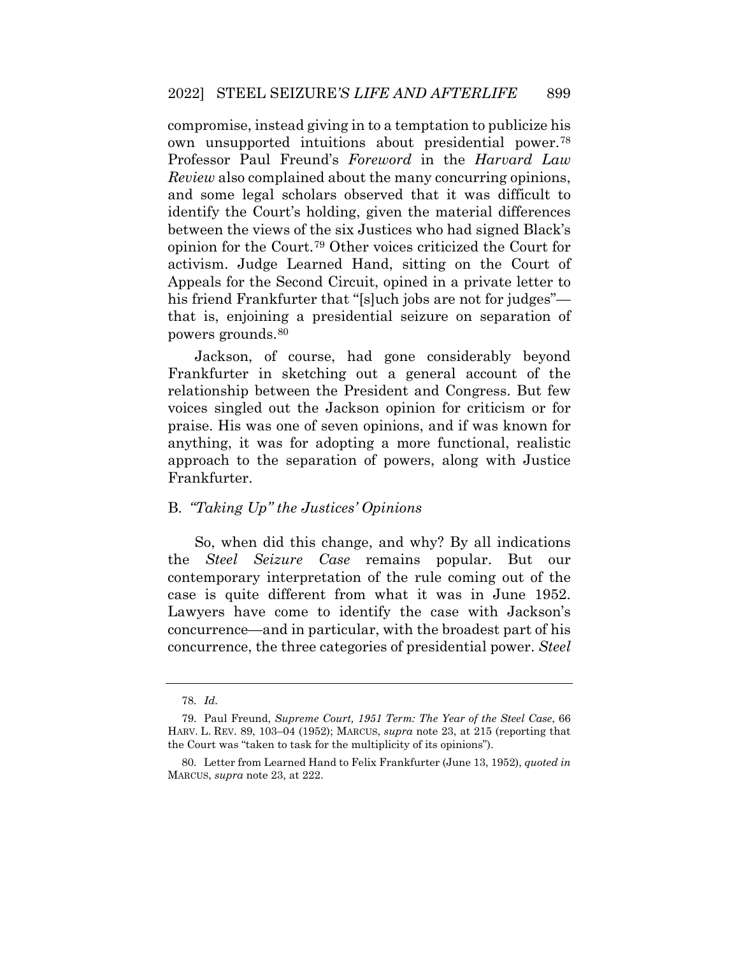Professor Paul Freund's *Foreword* in the *Harvard Law*  compromise, instead giving in to a temptation to publicize his own unsupported intuitions about presidential power.[78](#page-25-3) *Review* also complained about the many concurring opinions, and some legal scholars observed that it was difficult to identify the Court's holding, given the material differences between the views of the six Justices who had signed Black's opinion for the Court.[79](#page-25-4) Other voices criticized the Court for activism. Judge Learned Hand, sitting on the Court of Appeals for the Second Circuit, opined in a private letter to his friend Frankfurter that "[s]uch jobs are not for judges" that is, enjoining a presidential seizure on separation of powers grounds.[80](#page-25-5)

 relationship between the President and Congress. But few praise. His was one of seven opinions, and if was known for approach to the separation of powers, along with Justice Jackson, of course, had gone considerably beyond Frankfurter in sketching out a general account of the voices singled out the Jackson opinion for criticism or for anything, it was for adopting a more functional, realistic Frankfurter.

# B. *"Taking Up" the Justices' Opinions*

 the *Steel Seizure Case* remains popular. But our So, when did this change, and why? By all indications contemporary interpretation of the rule coming out of the case is quite different from what it was in June 1952. Lawyers have come to identify the case with Jackson's concurrence—and in particular, with the broadest part of his concurrence, the three categories of presidential power. *Steel* 

<sup>78.</sup> *Id.* 

<span id="page-25-4"></span><span id="page-25-3"></span><span id="page-25-2"></span><span id="page-25-1"></span><span id="page-25-0"></span> HARV. L. REV. 89, 103–04 (1952); MARCUS, *supra* note 23, at 215 (reporting that 79. Paul Freund, *Supreme Court, 1951 Term: The Year of the Steel Case*, 66 the Court was "taken to task for the multiplicity of its opinions").

<span id="page-25-5"></span><sup>80.</sup> Letter from Learned Hand to Felix Frankfurter (June 13, 1952), *quoted in*  MARCUS, *supra* note 23, at 222.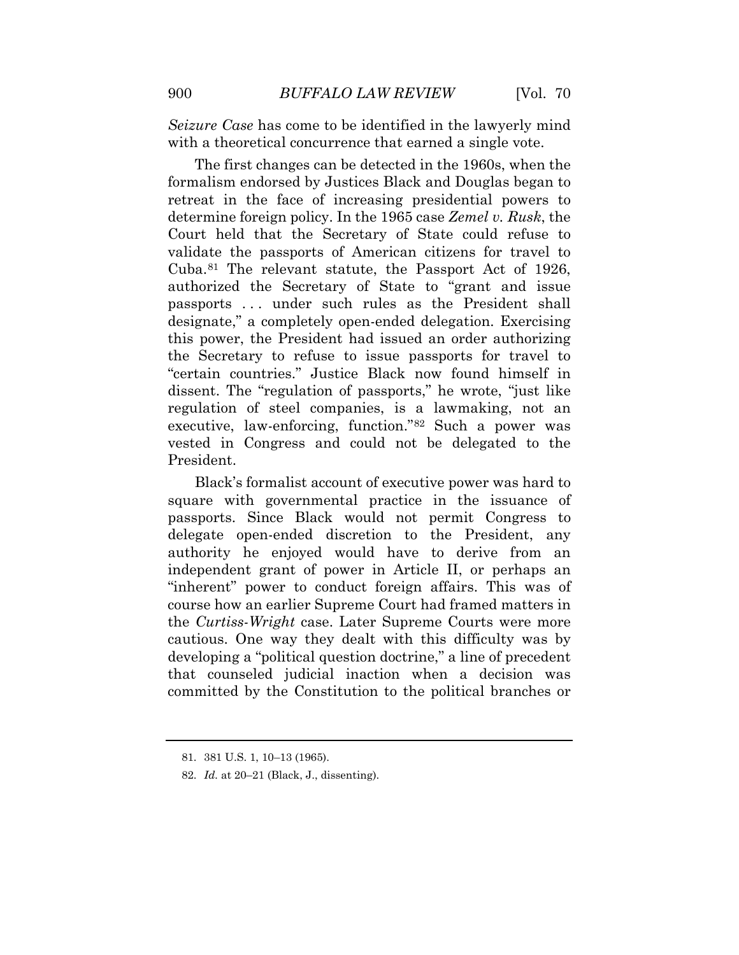*Seizure Case* has come to be identified in the lawyerly mind with a theoretical concurrence that earned a single vote.

 The first changes can be detected in the 1960s, when the validate the passports of American citizens for travel to authorized the Secretary of State to "grant and issue passports . . . under such rules as the President shall "certain countries." Justice Black now found himself in formalism endorsed by Justices Black and Douglas began to retreat in the face of increasing presidential powers to determine foreign policy. In the 1965 case *Zemel v. Rusk*, the Court held that the Secretary of State could refuse to Cuba.[81](#page-26-0) The relevant statute, the Passport Act of 1926, designate," a completely open-ended delegation. Exercising this power, the President had issued an order authorizing the Secretary to refuse to issue passports for travel to dissent. The "regulation of passports," he wrote, "just like regulation of steel companies, is a lawmaking, not an executive, law-enforcing, function."[82](#page-27-0) Such a power was vested in Congress and could not be delegated to the President.

 cautious. One way they dealt with this difficulty was by developing a "political question doctrine," a line of precedent committed by the Constitution to the political branches or Black's formalist account of executive power was hard to square with governmental practice in the issuance of passports. Since Black would not permit Congress to delegate open-ended discretion to the President, any authority he enjoyed would have to derive from an independent grant of power in Article II, or perhaps an "inherent" power to conduct foreign affairs. This was of course how an earlier Supreme Court had framed matters in the *Curtiss-Wright* case. Later Supreme Courts were more that counseled judicial inaction when a decision was

<span id="page-26-0"></span><sup>81. 381</sup> U.S. 1, 10–13 (1965).

 82. *Id.* at 20–21 (Black, J., dissenting).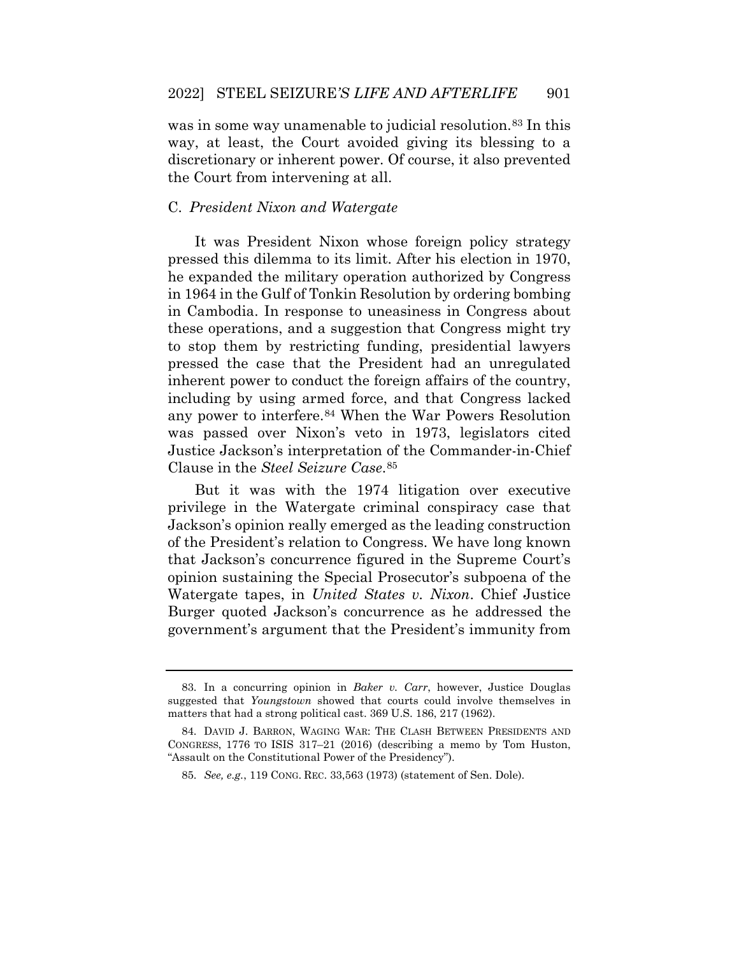was in some way unamenable to judicial resolution.<sup>[83](#page-27-1)</sup> In this way, at least, the Court avoided giving its blessing to a discretionary or inherent power. Of course, it also prevented the Court from intervening at all.

## C. *President Nixon and Watergate*

 including by using armed force, and that Congress lacked It was President Nixon whose foreign policy strategy pressed this dilemma to its limit. After his election in 1970, he expanded the military operation authorized by Congress in 1964 in the Gulf of Tonkin Resolution by ordering bombing in Cambodia. In response to uneasiness in Congress about these operations, and a suggestion that Congress might try to stop them by restricting funding, presidential lawyers pressed the case that the President had an unregulated inherent power to conduct the foreign affairs of the country, any power to interfere.[84](#page-28-0) When the War Powers Resolution was passed over Nixon's veto in 1973, legislators cited Justice Jackson's interpretation of the Commander-in-Chief Clause in the *Steel Seizure Case* [85](#page-28-1) .

But it was with the 1974 litigation over executive privilege in the Watergate criminal conspiracy case that Jackson's opinion really emerged as the leading construction of the President's relation to Congress. We have long known that Jackson's concurrence figured in the Supreme Court's opinion sustaining the Special Prosecutor's subpoena of the Watergate tapes, in *United States v. Nixon*. Chief Justice Burger quoted Jackson's concurrence as he addressed the government's argument that the President's immunity from

<sup>83.</sup> In a concurring opinion in *Baker v. Carr*, however, Justice Douglas suggested that *Youngstown* showed that courts could involve themselves in matters that had a strong political cast. 369 U.S. 186, 217 (1962).

<span id="page-27-1"></span><span id="page-27-0"></span> CONGRESS, 1776 TO ISIS 317–21 (2016) (describing a memo by Tom Huston, 84. DAVID J. BARRON, WAGING WAR: THE CLASH BETWEEN PRESIDENTS AND "Assault on the Constitutional Power of the Presidency").

 85. *See, e.g.*, 119 CONG. REC. 33,563 (1973) (statement of Sen. Dole).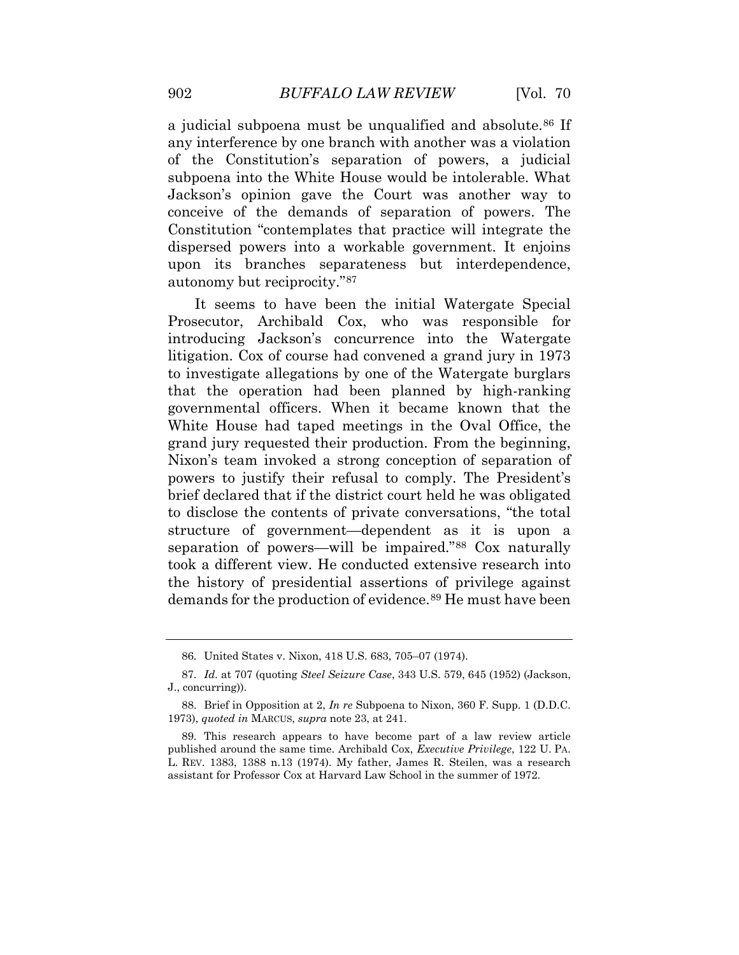a judicial subpoena must be unqualified and absolute.<sup>[86](#page-28-2)</sup> If any interference by one branch with another was a violation of the Constitution's separation of powers, a judicial subpoena into the White House would be intolerable. What Jackson's opinion gave the Court was another way to conceive of the demands of separation of powers. The Constitution "contemplates that practice will integrate the dispersed powers into a workable government. It enjoins upon its branches separateness but interdependence, autonomy but reciprocity."[87](#page-28-3) 

 structure of government—dependent as it is upon a It seems to have been the initial Watergate Special Prosecutor, Archibald Cox, who was responsible for introducing Jackson's concurrence into the Watergate litigation. Cox of course had convened a grand jury in 1973 to investigate allegations by one of the Watergate burglars that the operation had been planned by high-ranking governmental officers. When it became known that the White House had taped meetings in the Oval Office, the grand jury requested their production. From the beginning, Nixon's team invoked a strong conception of separation of powers to justify their refusal to comply. The President's brief declared that if the district court held he was obligated to disclose the contents of private conversations, "the total separation of powers—will be impaired."[88](#page-29-0) Cox naturally took a different view. He conducted extensive research into the history of presidential assertions of privilege against demands for the production of evidence.[89](#page-29-1) He must have been

<sup>86.</sup> United States v. Nixon, 418 U.S. 683, 705–07 (1974).

<span id="page-28-0"></span> 87. *Id.* at 707 (quoting *Steel Seizure Case*, 343 U.S. 579, 645 (1952) (Jackson, J., concurring)).

<span id="page-28-1"></span><sup>88.</sup> Brief in Opposition at 2, *In re* Subpoena to Nixon, 360 F. Supp. 1 (D.D.C. 1973), *quoted in* MARCUS, *supra* note 23, at 241.

<span id="page-28-3"></span><span id="page-28-2"></span> published around the same time. Archibald Cox, *Executive Privilege*, 122 U. PA. L. REV. 1383, 1388 n.13 (1974). My father, James R. Steilen, was a research 89. This research appears to have become part of a law review article assistant for Professor Cox at Harvard Law School in the summer of 1972.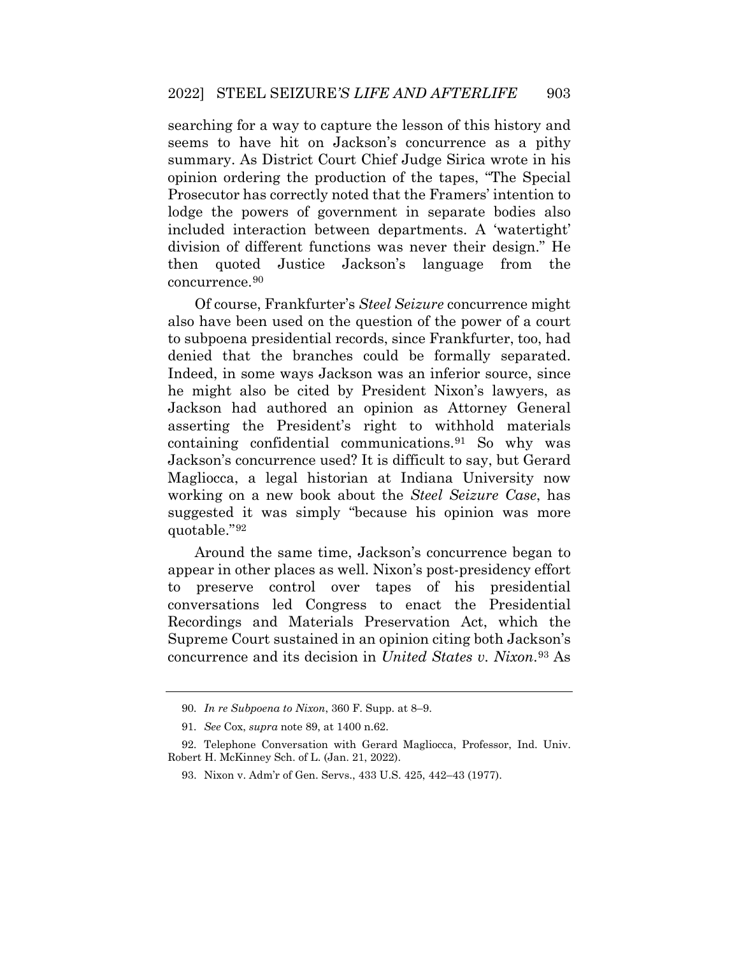seems to have hit on Jackson's concurrence as a pithy division of different functions was never their design." He searching for a way to capture the lesson of this history and summary. As District Court Chief Judge Sirica wrote in his opinion ordering the production of the tapes, "The Special Prosecutor has correctly noted that the Framers' intention to lodge the powers of government in separate bodies also included interaction between departments. A 'watertight' then quoted Justice Jackson's language from the concurrence.[90](#page-29-2)

 to subpoena presidential records, since Frankfurter, too, had containing confidential communications.[91](#page-30-0) So why was working on a new book about the *Steel Seizure Case*, has suggested it was simply "because his opinion was more Of course, Frankfurter's *Steel Seizure* concurrence might also have been used on the question of the power of a court denied that the branches could be formally separated. Indeed, in some ways Jackson was an inferior source, since he might also be cited by President Nixon's lawyers, as Jackson had authored an opinion as Attorney General asserting the President's right to withhold materials Jackson's concurrence used? It is difficult to say, but Gerard Magliocca, a legal historian at Indiana University now quotable."[92](#page-30-1)

Around the same time, Jackson's concurrence began to appear in other places as well. Nixon's post-presidency effort to preserve control over tapes of his presidential conversations led Congress to enact the Presidential Recordings and Materials Preservation Act, which the Supreme Court sustained in an opinion citing both Jackson's concurrence and its decision in *United States v. Nixon*.[93](#page-30-2) As

<sup>90.</sup> *In re Subpoena to Nixon*, 360 F. Supp. at 8–9.

 91. *See* Cox, *supra* note 89, at 1400 n.62.

<span id="page-29-2"></span><span id="page-29-1"></span><span id="page-29-0"></span><sup>92.</sup> Telephone Conversation with Gerard Magliocca, Professor, Ind. Univ. Robert H. McKinney Sch. of L. (Jan. 21, 2022).

<sup>93.</sup> Nixon v. Adm'r of Gen. Servs., 433 U.S. 425, 442–43 (1977).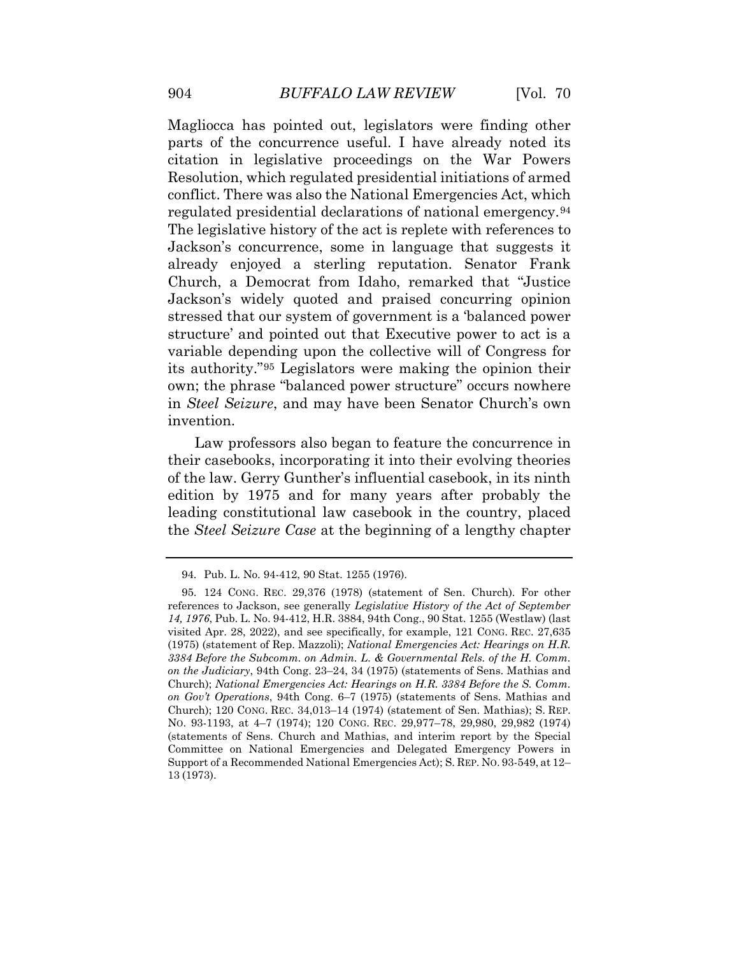conflict. There was also the National Emergencies Act, which structure' and pointed out that Executive power to act is a Magliocca has pointed out, legislators were finding other parts of the concurrence useful. I have already noted its citation in legislative proceedings on the War Powers Resolution, which regulated presidential initiations of armed regulated presidential declarations of national emergency.[94](#page-30-3) The legislative history of the act is replete with references to Jackson's concurrence, some in language that suggests it already enjoyed a sterling reputation. Senator Frank Church, a Democrat from Idaho, remarked that "Justice Jackson's widely quoted and praised concurring opinion stressed that our system of government is a 'balanced power variable depending upon the collective will of Congress for its authority."[95](#page-31-0) Legislators were making the opinion their own; the phrase "balanced power structure" occurs nowhere in *Steel Seizure*, and may have been Senator Church's own invention.

Law professors also began to feature the concurrence in their casebooks, incorporating it into their evolving theories of the law. Gerry Gunther's influential casebook, in its ninth edition by 1975 and for many years after probably the leading constitutional law casebook in the country, placed the *Steel Seizure Case* at the beginning of a lengthy chapter

<sup>94.</sup> Pub. L. No. 94-412, 90 Stat. 1255 (1976).

<span id="page-30-3"></span><span id="page-30-2"></span><span id="page-30-1"></span><span id="page-30-0"></span> *14, 1976*, Pub. L. No. 94-412, H.R. 3884, 94th Cong., 90 Stat. 1255 (Westlaw) (last  *3384 Before the Subcomm. on Admin. L. & Governmental Rels. of the H. Comm.*  Church); *National Emergencies Act: Hearings on H.R. 3384 Before the S. Comm. on Gov't Operations*, 94th Cong. 6–7 (1975) (statements of Sens. Mathias and Church); 120 CONG. REC. 34,013–14 (1974) (statement of Sen. Mathias); S. REP. Committee on National Emergencies and Delegated Emergency Powers in Support of a Recommended National Emergencies Act); S. REP. NO. 93-549, at 12– 95. 124 CONG. REC. 29,376 (1978) (statement of Sen. Church). For other references to Jackson, see generally *Legislative History of the Act of September*  visited Apr. 28, 2022), and see specifically, for example, 121 CONG. REC. 27,635 (1975) (statement of Rep. Mazzoli); *National Emergencies Act: Hearings on H.R. on the Judiciary*, 94th Cong. 23–24, 34 (1975) (statements of Sens. Mathias and NO. 93-1193, at 4–7 (1974); 120 CONG. REC. 29,977–78, 29,980, 29,982 (1974) (statements of Sens. Church and Mathias, and interim report by the Special 13 (1973).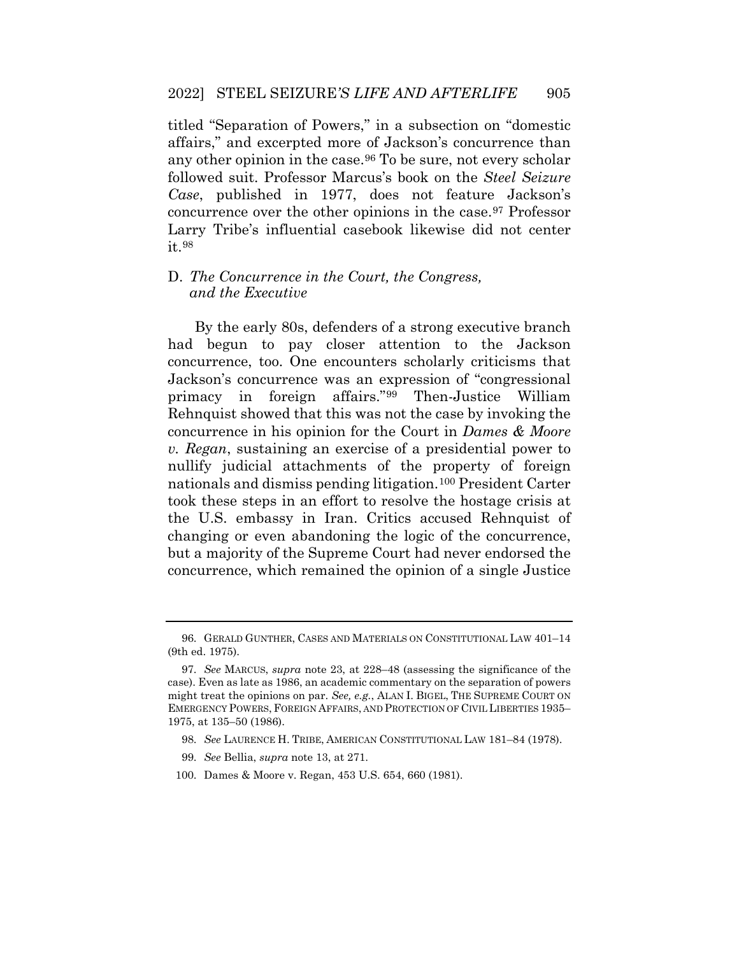titled "Separation of Powers," in a subsection on "domestic any other opinion in the case.<sup>[96](#page-31-1)</sup> To be sure, not every scholar affairs," and excerpted more of Jackson's concurrence than followed suit. Professor Marcus's book on the *Steel Seizure Case*, published in 1977, does not feature Jackson's concurrence over the other opinions in the case.[97](#page-31-2) Professor Larry Tribe's influential casebook likewise did not center it.[98](#page-31-3)

# D. *The Concurrence in the Court, the Congress, and the Executive*

<span id="page-31-0"></span> concurrence, too. One encounters scholarly criticisms that nullify judicial attachments of the property of foreign concurrence, which remained the opinion of a single Justice By the early 80s, defenders of a strong executive branch had begun to pay closer attention to the Jackson Jackson's concurrence was an expression of "congressional primacy in foreign affairs."[99](#page-32-0) Then-Justice William Rehnquist showed that this was not the case by invoking the concurrence in his opinion for the Court in *Dames & Moore v. Regan*, sustaining an exercise of a presidential power to nationals and dismiss pending litigation.[100](#page-32-1) President Carter took these steps in an effort to resolve the hostage crisis at the U.S. embassy in Iran. Critics accused Rehnquist of changing or even abandoning the logic of the concurrence, but a majority of the Supreme Court had never endorsed the

- 99. *See* Bellia, *supra* note 13, at 271.
- <span id="page-31-3"></span>100. Dames & Moore v. Regan, 453 U.S. 654, 660 (1981).

<sup>96.</sup> GERALD GUNTHER, CASES AND MATERIALS ON CONSTITUTIONAL LAW 401–14 (9th ed. 1975).

<span id="page-31-2"></span><span id="page-31-1"></span> 97. *See* MARCUS, *supra* note 23, at 228–48 (assessing the significance of the case). Even as late as 1986, an academic commentary on the separation of powers might treat the opinions on par. *See, e.g.*, ALAN I. BIGEL, THE SUPREME COURT ON EMERGENCY POWERS, FOREIGN AFFAIRS, AND PROTECTION OF CIVIL LIBERTIES 1935– 1975, at 135–50 (1986).

 98. *See* LAURENCE H. TRIBE, AMERICAN CONSTITUTIONAL LAW 181–84 (1978).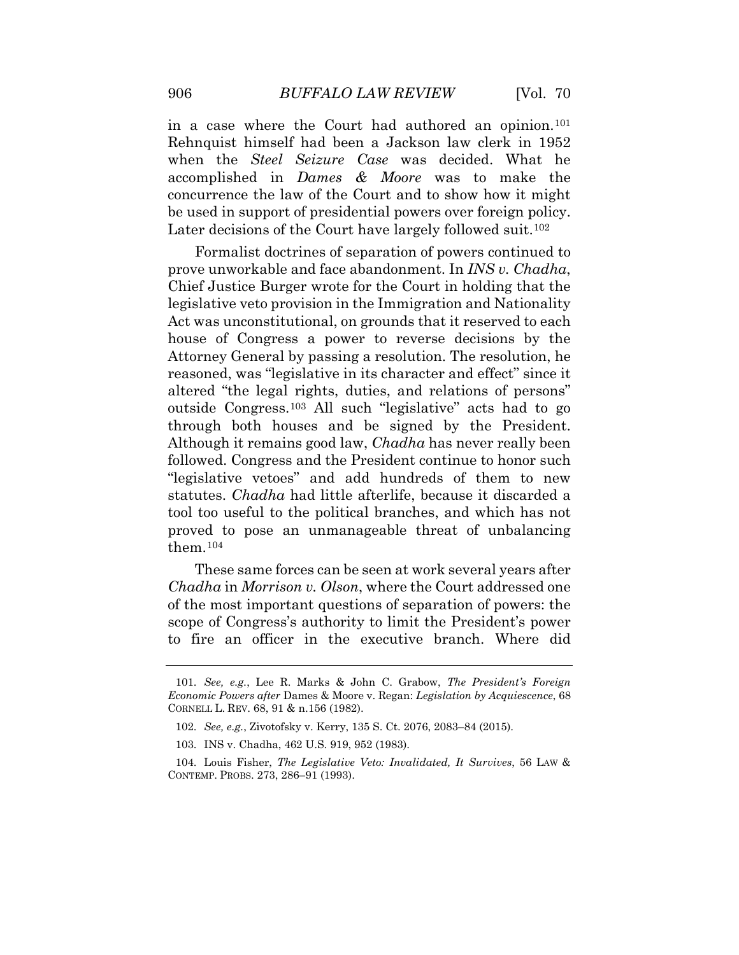concurrence the law of the Court and to show how it might be used in support of presidential powers over foreign policy. in a case where the Court had authored an opinion.[101](#page-32-2) Rehnquist himself had been a Jackson law clerk in 1952 when the *Steel Seizure Case* was decided. What he accomplished in *Dames & Moore* was to make the Later decisions of the Court have largely followed suit.<sup>102</sup>

 Chief Justice Burger wrote for the Court in holding that the altered "the legal rights, duties, and relations of persons" Although it remains good law, *Chadha* has never really been tool too useful to the political branches, and which has not Formalist doctrines of separation of powers continued to prove unworkable and face abandonment. In *INS v. Chadha*, legislative veto provision in the Immigration and Nationality Act was unconstitutional, on grounds that it reserved to each house of Congress a power to reverse decisions by the Attorney General by passing a resolution. The resolution, he reasoned, was "legislative in its character and effect" since it outside Congress.[103](#page-33-0) All such "legislative" acts had to go through both houses and be signed by the President. followed. Congress and the President continue to honor such "legislative vetoes" and add hundreds of them to new statutes. *Chadha* had little afterlife, because it discarded a proved to pose an unmanageable threat of unbalancing them.[104](#page-33-1) 

 These same forces can be seen at work several years after *Chadha* in *Morrison v. Olson*, where the Court addressed one of the most important questions of separation of powers: the scope of Congress's authority to limit the President's power to fire an officer in the executive branch. Where did

<span id="page-32-2"></span><span id="page-32-1"></span><span id="page-32-0"></span><sup>101.</sup> *See, e.g.*, Lee R. Marks & John C. Grabow, *The President's Foreign Economic Powers after* Dames & Moore v. Regan: *Legislation by Acquiescence*, 68 CORNELL L. REV. 68, 91 & n.156 (1982).

<sup>102.</sup> *See, e.g.*, Zivotofsky v. Kerry, 135 S. Ct. 2076, 2083–84 (2015).

<sup>103.</sup> INS v. Chadha, 462 U.S. 919, 952 (1983).

<span id="page-32-3"></span><sup>104.</sup> Louis Fisher, *The Legislative Veto: Invalidated, It Survives*, 56 LAW & CONTEMP. PROBS. 273, 286–91 (1993).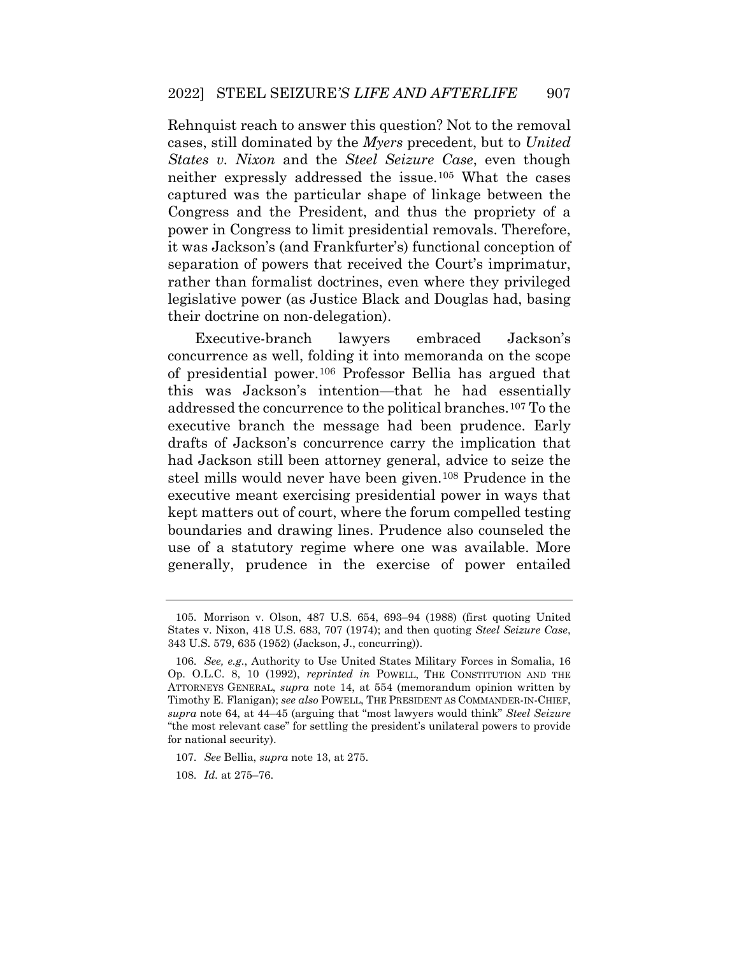it was Jackson's (and Frankfurter's) functional conception of Rehnquist reach to answer this question? Not to the removal cases, still dominated by the *Myers* precedent, but to *United States v. Nixon* and the *Steel Seizure Case*, even though neither expressly addressed the issue.[105](#page-33-2) What the cases captured was the particular shape of linkage between the Congress and the President, and thus the propriety of a power in Congress to limit presidential removals. Therefore, separation of powers that received the Court's imprimatur, rather than formalist doctrines, even where they privileged legislative power (as Justice Black and Douglas had, basing their doctrine on non-delegation).

 executive branch the message had been prudence. Early had Jackson still been attorney general, advice to seize the kept matters out of court, where the forum compelled testing Executive-branch lawyers embraced Jackson's concurrence as well, folding it into memoranda on the scope of presidential power.[106](#page-34-0) Professor Bellia has argued that this was Jackson's intention—that he had essentially addressed the concurrence to the political branches.[107](#page-34-1) To the drafts of Jackson's concurrence carry the implication that steel mills would never have been given.[108](#page-34-2) Prudence in the executive meant exercising presidential power in ways that boundaries and drawing lines. Prudence also counseled the use of a statutory regime where one was available. More generally, prudence in the exercise of power entailed

<sup>105.</sup> Morrison v. Olson, 487 U.S. 654, 693–94 (1988) (first quoting United States v. Nixon, 418 U.S. 683, 707 (1974); and then quoting *Steel Seizure Case*, 343 U.S. 579, 635 (1952) (Jackson, J., concurring)).

<span id="page-33-1"></span><span id="page-33-0"></span> Op. O.L.C. 8, 10 (1992), *reprinted in* POWELL, THE CONSTITUTION AND THE Timothy E. Flanigan); *see also* POWELL, THE PRESIDENT AS COMMANDER-IN-CHIEF, 106. *See, e.g.*, Authority to Use United States Military Forces in Somalia, 16 ATTORNEYS GENERAL, *supra* note 14, at 554 (memorandum opinion written by *supra* note 64, at 44–45 (arguing that "most lawyers would think" *Steel Seizure*  "the most relevant case" for settling the president's unilateral powers to provide for national security).

<span id="page-33-2"></span> 107. *See* Bellia, *supra* note 13, at 275.

 108. *Id.* at 275–76.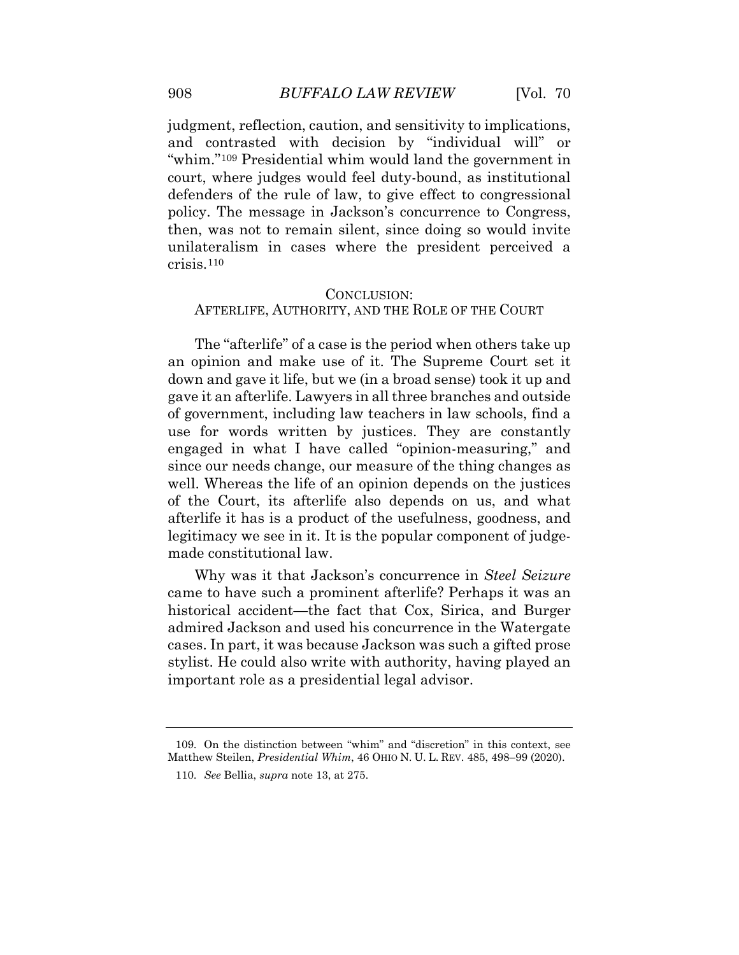judgment, reflection, caution, and sensitivity to implications, and contrasted with decision by "individual will" or court, where judges would feel duty-bound, as institutional unilateralism in cases where the president perceived a "whim."[109](#page-34-3) Presidential whim would land the government in defenders of the rule of law, to give effect to congressional policy. The message in Jackson's concurrence to Congress, then, was not to remain silent, since doing so would invite crisis.[110](#page-35-0) 

#### CONCLUSION:

#### AFTERLIFE, AUTHORITY, AND THE ROLE OF THE COURT

The "afterlife" of a case is the period when others take up an opinion and make use of it. The Supreme Court set it down and gave it life, but we (in a broad sense) took it up and gave it an afterlife. Lawyers in all three branches and outside of government, including law teachers in law schools, find a use for words written by justices. They are constantly engaged in what I have called "opinion-measuring," and since our needs change, our measure of the thing changes as well. Whereas the life of an opinion depends on the justices of the Court, its afterlife also depends on us, and what afterlife it has is a product of the usefulness, goodness, and legitimacy we see in it. It is the popular component of judgemade constitutional law.

<span id="page-34-0"></span> stylist. He could also write with authority, having played an Why was it that Jackson's concurrence in *Steel Seizure*  came to have such a prominent afterlife? Perhaps it was an historical accident—the fact that Cox, Sirica, and Burger admired Jackson and used his concurrence in the Watergate cases. In part, it was because Jackson was such a gifted prose important role as a presidential legal advisor.

<span id="page-34-3"></span><span id="page-34-2"></span><span id="page-34-1"></span> Matthew Steilen, *Presidential Whim*, 46 OHIO N. U. L. REV. 485, 498–99 (2020). 109. On the distinction between "whim" and "discretion" in this context, see

 110. *See* Bellia, *supra* note 13, at 275.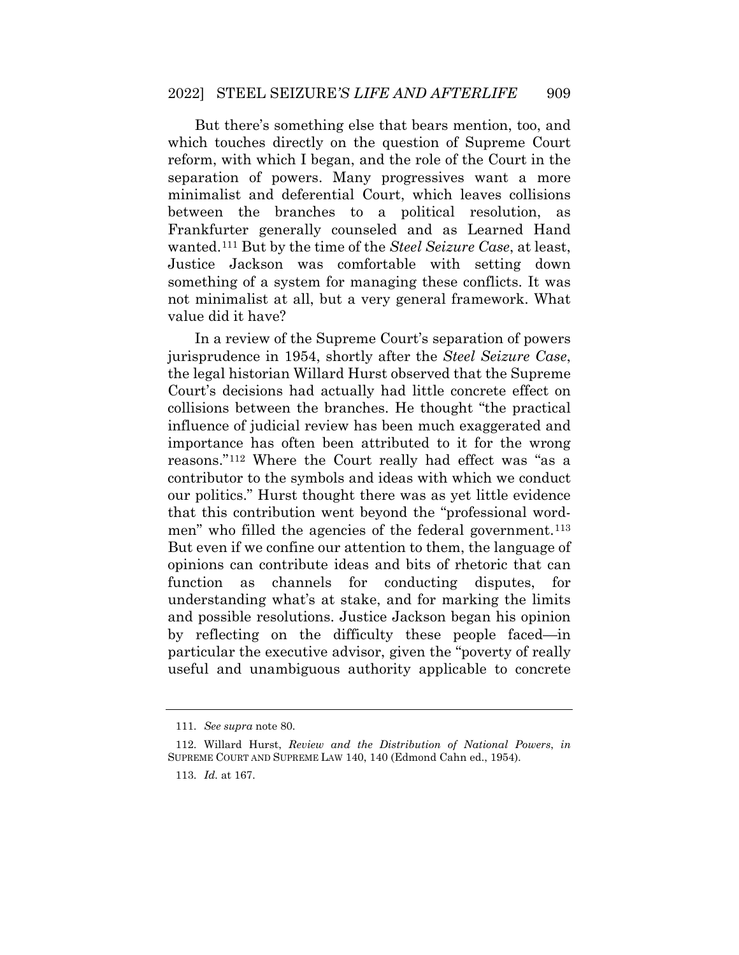But there's something else that bears mention, too, and reform, with which I began, and the role of the Court in the separation of powers. Many progressives want a more which touches directly on the question of Supreme Court minimalist and deferential Court, which leaves collisions between the branches to a political resolution, as Frankfurter generally counseled and as Learned Hand wanted.[111](#page-35-1) But by the time of the *Steel Seizure Case*, at least, Justice Jackson was comfortable with setting down something of a system for managing these conflicts. It was not minimalist at all, but a very general framework. What value did it have?

 jurisprudence in 1954, shortly after the *Steel Seizure Case*, Court's decisions had actually had little concrete effect on contributor to the symbols and ideas with which we conduct our politics." Hurst thought there was as yet little evidence In a review of the Supreme Court's separation of powers the legal historian Willard Hurst observed that the Supreme collisions between the branches. He thought "the practical influence of judicial review has been much exaggerated and importance has often been attributed to it for the wrong reasons."[112](#page-36-0) Where the Court really had effect was "as a that this contribution went beyond the "professional word-men" who filled the agencies of the federal government.<sup>[113](#page-36-1)</sup> But even if we confine our attention to them, the language of opinions can contribute ideas and bits of rhetoric that can function as channels for conducting disputes, for understanding what's at stake, and for marking the limits and possible resolutions. Justice Jackson began his opinion by reflecting on the difficulty these people faced—in particular the executive advisor, given the "poverty of really useful and unambiguous authority applicable to concrete

 111. *See supra* note 80.

<span id="page-35-1"></span><span id="page-35-0"></span><sup>112.</sup> Willard Hurst, *Review and the Distribution of National Powers*, *in*  SUPREME COURT AND SUPREME LAW 140, 140 (Edmond Cahn ed., 1954).

 113. *Id.* at 167.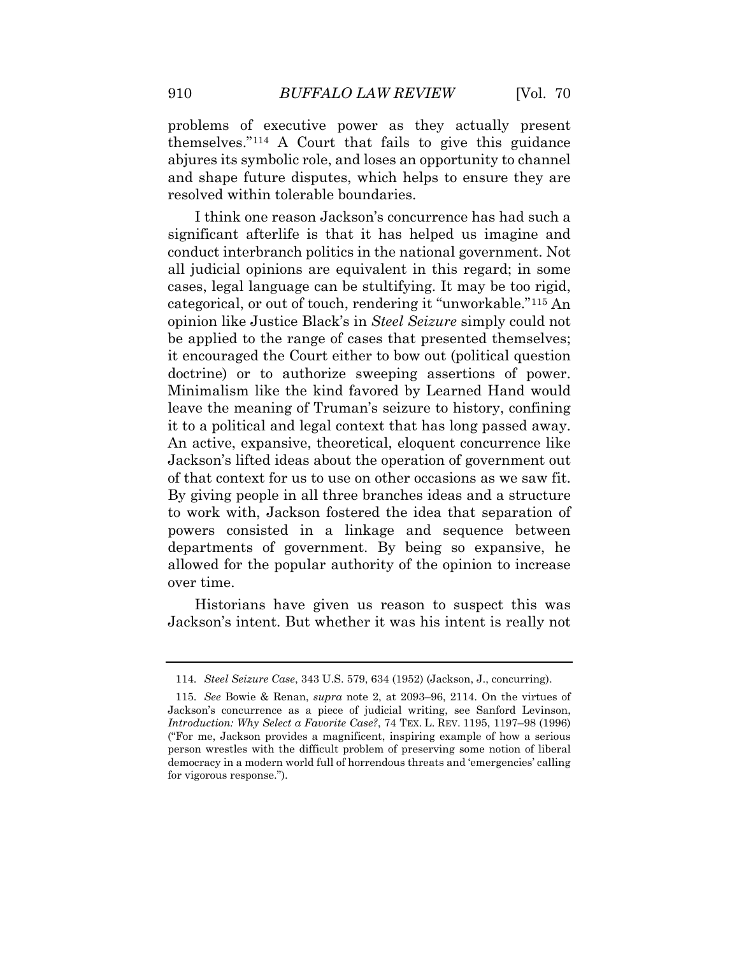problems of executive power as they actually present themselves."[114](#page-36-2) A Court that fails to give this guidance abjures its symbolic role, and loses an opportunity to channel and shape future disputes, which helps to ensure they are resolved within tolerable boundaries.

 it encouraged the Court either to bow out (political question of that context for us to use on other occasions as we saw fit. I think one reason Jackson's concurrence has had such a significant afterlife is that it has helped us imagine and conduct interbranch politics in the national government. Not all judicial opinions are equivalent in this regard; in some cases, legal language can be stultifying. It may be too rigid, categorical, or out of touch, rendering it "unworkable."[115](#page-37-0) An opinion like Justice Black's in *Steel Seizure* simply could not be applied to the range of cases that presented themselves; doctrine) or to authorize sweeping assertions of power. Minimalism like the kind favored by Learned Hand would leave the meaning of Truman's seizure to history, confining it to a political and legal context that has long passed away. An active, expansive, theoretical, eloquent concurrence like Jackson's lifted ideas about the operation of government out By giving people in all three branches ideas and a structure to work with, Jackson fostered the idea that separation of powers consisted in a linkage and sequence between departments of government. By being so expansive, he allowed for the popular authority of the opinion to increase over time.

 Historians have given us reason to suspect this was Jackson's intent. But whether it was his intent is really not

<sup>114.</sup> *Steel Seizure Case*, 343 U.S. 579, 634 (1952) (Jackson, J., concurring).

<span id="page-36-2"></span><span id="page-36-1"></span><span id="page-36-0"></span> 115. *See* Bowie & Renan, *supra* note 2, at 2093–96, 2114. On the virtues of Jackson's concurrence as a piece of judicial writing, see Sanford Levinson,  *Introduction: Why Select a Favorite Case?*, 74 TEX. L. REV. 1195, 1197–98 (1996) ("For me, Jackson provides a magnificent, inspiring example of how a serious person wrestles with the difficult problem of preserving some notion of liberal democracy in a modern world full of horrendous threats and 'emergencies' calling for vigorous response.").